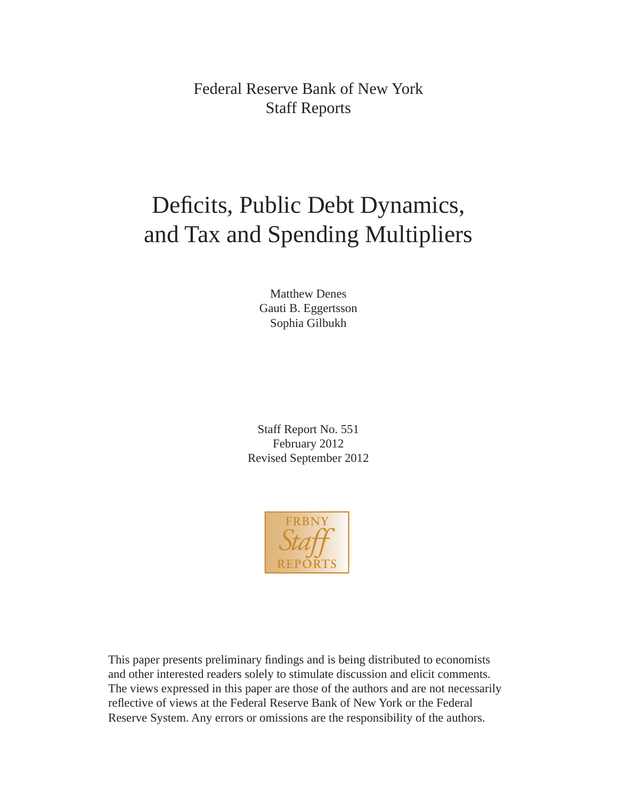Federal Reserve Bank of New York Staff Reports

# Deficits, Public Debt Dynamics, and Tax and Spending Multipliers

Matthew Denes Gauti B. Eggertsson Sophia Gilbukh

Staff Report No. 551 February 2012 Revised September 2012



This paper presents preliminary findings and is being distributed to economists and other interested readers solely to stimulate discussion and elicit comments. The views expressed in this paper are those of the authors and are not necessarily reflective of views at the Federal Reserve Bank of New York or the Federal Reserve System. Any errors or omissions are the responsibility of the authors.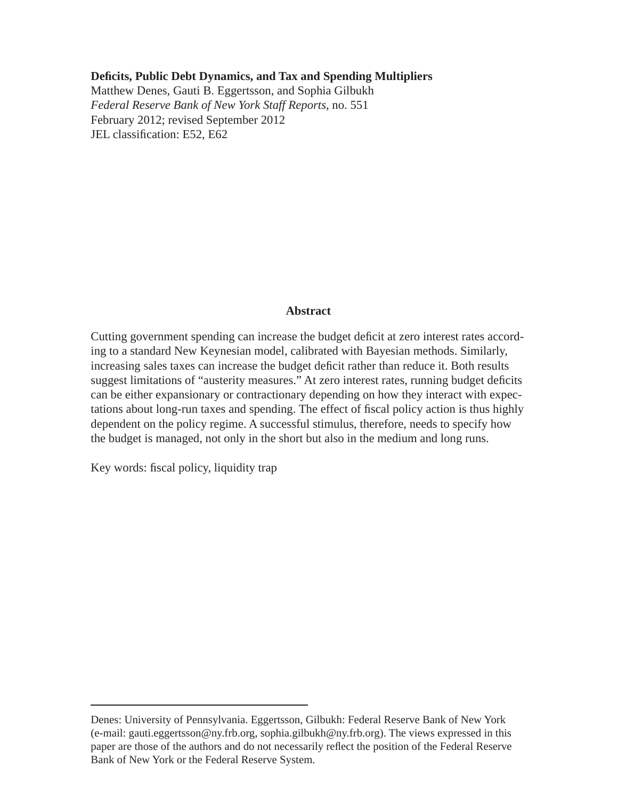#### **Defi cits, Public Debt Dynamics, and Tax and Spending Multipliers**

Matthew Denes, Gauti B. Eggertsson, and Sophia Gilbukh *Federal Reserve Bank of New York Staff Reports*, no. 551 February 2012; revised September 2012 JEL classification: E52, E62

#### **Abstract**

Cutting government spending can increase the budget deficit at zero interest rates according to a standard New Keynesian model, calibrated with Bayesian methods. Similarly, increasing sales taxes can increase the budget deficit rather than reduce it. Both results suggest limitations of "austerity measures." At zero interest rates, running budget deficits can be either expansionary or contractionary depending on how they interact with expectations about long-run taxes and spending. The effect of fiscal policy action is thus highly dependent on the policy regime. A successful stimulus, therefore, needs to specify how the budget is managed, not only in the short but also in the medium and long runs.

Key words: fiscal policy, liquidity trap

Denes: University of Pennsylvania. Eggertsson, Gilbukh: Federal Reserve Bank of New York (e-mail: gauti.eggertsson@ny.frb.org, sophia.gilbukh@ny.frb.org). The views expressed in this paper are those of the authors and do not necessarily reflect the position of the Federal Reserve Bank of New York or the Federal Reserve System.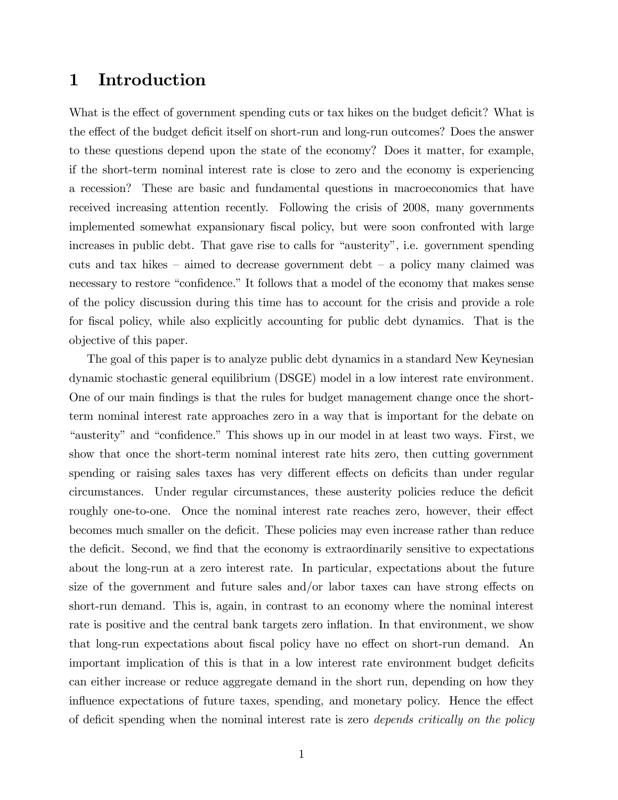## 1 Introduction

What is the effect of government spending cuts or tax hikes on the budget deficit? What is the effect of the budget deficit itself on short-run and long-run outcomes? Does the answer to these questions depend upon the state of the economy? Does it matter, for example, if the short-term nominal interest rate is close to zero and the economy is experiencing a recession? These are basic and fundamental questions in macroeconomics that have received increasing attention recently. Following the crisis of 2008, many governments implemented somewhat expansionary Öscal policy, but were soon confronted with large increases in public debt. That gave rise to calls for "austerity", i.e. government spending cuts and tax hikes  $\overline{\phantom{a}}$  aimed to decrease government debt  $\overline{\phantom{a}}$  a policy many claimed was necessary to restore "confidence." It follows that a model of the economy that makes sense of the policy discussion during this time has to account for the crisis and provide a role for Öscal policy, while also explicitly accounting for public debt dynamics. That is the objective of this paper.

The goal of this paper is to analyze public debt dynamics in a standard New Keynesian dynamic stochastic general equilibrium (DSGE) model in a low interest rate environment. One of our main Öndings is that the rules for budget management change once the shortterm nominal interest rate approaches zero in a way that is important for the debate on "austerity" and "confidence." This shows up in our model in at least two ways. First, we show that once the short-term nominal interest rate hits zero, then cutting government spending or raising sales taxes has very different effects on deficits than under regular circumstances. Under regular circumstances, these austerity policies reduce the deficit roughly one-to-one. Once the nominal interest rate reaches zero, however, their effect becomes much smaller on the deficit. These policies may even increase rather than reduce the deficit. Second, we find that the economy is extraordinarily sensitive to expectations about the long-run at a zero interest rate. In particular, expectations about the future size of the government and future sales and/or labor taxes can have strong effects on short-run demand. This is, again, in contrast to an economy where the nominal interest rate is positive and the central bank targets zero inflation. In that environment, we show that long-run expectations about fiscal policy have no effect on short-run demand. An important implication of this is that in a low interest rate environment budget deficits can either increase or reduce aggregate demand in the short run, depending on how they influence expectations of future taxes, spending, and monetary policy. Hence the effect of deficit spending when the nominal interest rate is zero *depends critically on the policy*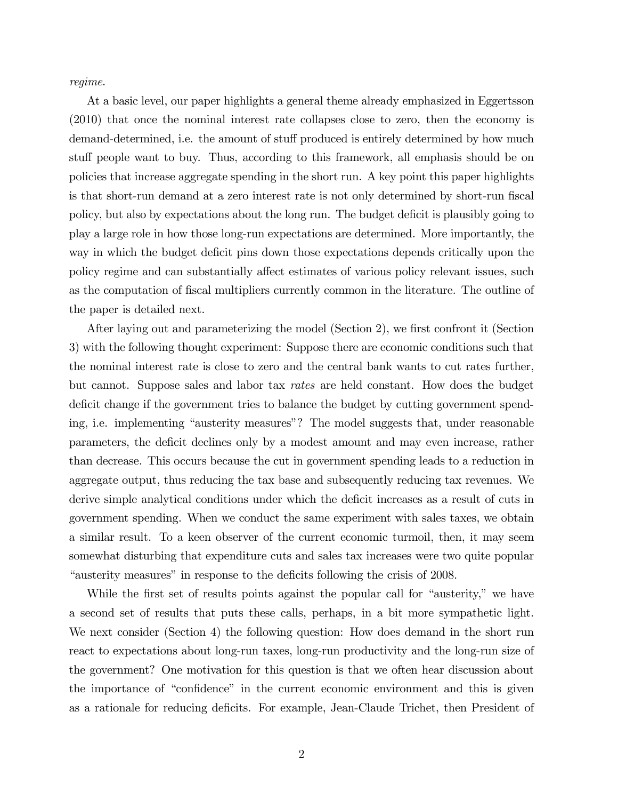regime.

At a basic level, our paper highlights a general theme already emphasized in Eggertsson (2010) that once the nominal interest rate collapses close to zero, then the economy is demand-determined, i.e. the amount of stuff produced is entirely determined by how much stuff people want to buy. Thus, according to this framework, all emphasis should be on policies that increase aggregate spending in the short run. A key point this paper highlights is that short-run demand at a zero interest rate is not only determined by short-run fiscal policy, but also by expectations about the long run. The budget deficit is plausibly going to play a large role in how those long-run expectations are determined. More importantly, the way in which the budget deficit pins down those expectations depends critically upon the policy regime and can substantially affect estimates of various policy relevant issues, such as the computation of fiscal multipliers currently common in the literature. The outline of the paper is detailed next.

After laying out and parameterizing the model (Section 2), we first confront it (Section 3) with the following thought experiment: Suppose there are economic conditions such that the nominal interest rate is close to zero and the central bank wants to cut rates further, but cannot. Suppose sales and labor tax rates are held constant. How does the budget deficit change if the government tries to balance the budget by cutting government spending, i.e. implementing "austerity measures"? The model suggests that, under reasonable parameters, the deficit declines only by a modest amount and may even increase, rather than decrease. This occurs because the cut in government spending leads to a reduction in aggregate output, thus reducing the tax base and subsequently reducing tax revenues. We derive simple analytical conditions under which the deficit increases as a result of cuts in government spending. When we conduct the same experiment with sales taxes, we obtain a similar result. To a keen observer of the current economic turmoil, then, it may seem somewhat disturbing that expenditure cuts and sales tax increases were two quite popular ìausterity measuresîin response to the deÖcits following the crisis of 2008.

While the first set of results points against the popular call for "austerity," we have a second set of results that puts these calls, perhaps, in a bit more sympathetic light. We next consider (Section 4) the following question: How does demand in the short run react to expectations about long-run taxes, long-run productivity and the long-run size of the government? One motivation for this question is that we often hear discussion about the importance of "confidence" in the current economic environment and this is given as a rationale for reducing deficits. For example, Jean-Claude Trichet, then President of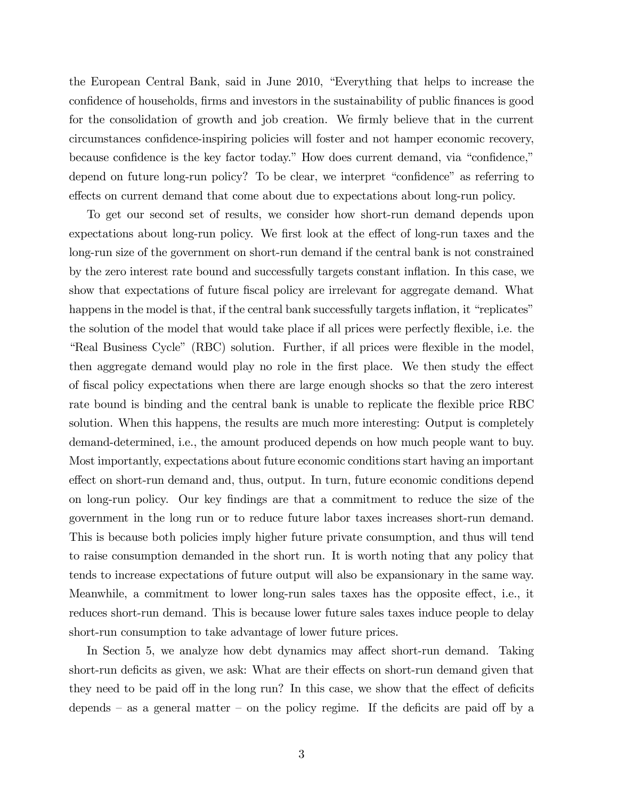the European Central Bank, said in June 2010, "Everything that helps to increase the confidence of households, firms and investors in the sustainability of public finances is good for the consolidation of growth and job creation. We firmly believe that in the current circumstances conÖdence-inspiring policies will foster and not hamper economic recovery, because confidence is the key factor today." How does current demand, via "confidence," depend on future long-run policy? To be clear, we interpret "confidence" as referring to effects on current demand that come about due to expectations about long-run policy.

To get our second set of results, we consider how short-run demand depends upon expectations about long-run policy. We first look at the effect of long-run taxes and the long-run size of the government on short-run demand if the central bank is not constrained by the zero interest rate bound and successfully targets constant ináation. In this case, we show that expectations of future fiscal policy are irrelevant for aggregate demand. What happens in the model is that, if the central bank successfully targets inflation, it "replicates" the solution of the model that would take place if all prices were perfectly flexible, i.e. the "Real Business Cycle" (RBC) solution. Further, if all prices were flexible in the model, then aggregate demand would play no role in the first place. We then study the effect of Öscal policy expectations when there are large enough shocks so that the zero interest rate bound is binding and the central bank is unable to replicate the flexible price RBC solution. When this happens, the results are much more interesting: Output is completely demand-determined, i.e., the amount produced depends on how much people want to buy. Most importantly, expectations about future economic conditions start having an important effect on short-run demand and, thus, output. In turn, future economic conditions depend on long-run policy. Our key Öndings are that a commitment to reduce the size of the government in the long run or to reduce future labor taxes increases short-run demand. This is because both policies imply higher future private consumption, and thus will tend to raise consumption demanded in the short run. It is worth noting that any policy that tends to increase expectations of future output will also be expansionary in the same way. Meanwhile, a commitment to lower long-run sales taxes has the opposite effect, i.e., it reduces short-run demand. This is because lower future sales taxes induce people to delay short-run consumption to take advantage of lower future prices.

In Section 5, we analyze how debt dynamics may affect short-run demand. Taking short-run deficits as given, we ask: What are their effects on short-run demand given that they need to be paid off in the long run? In this case, we show that the effect of deficits depends  $-$  as a general matter  $-$  on the policy regime. If the deficits are paid off by a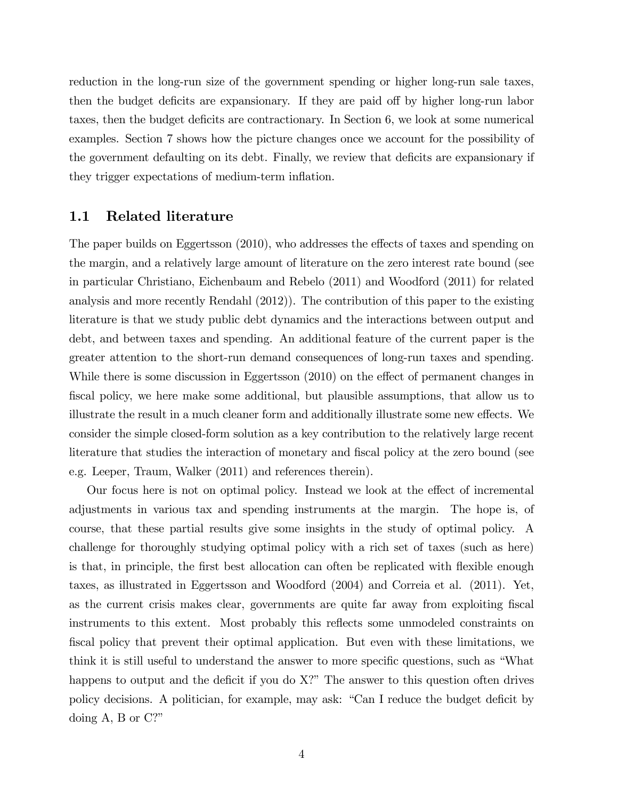reduction in the long-run size of the government spending or higher long-run sale taxes, then the budget deficits are expansionary. If they are paid off by higher long-run labor taxes, then the budget deficits are contractionary. In Section  $6$ , we look at some numerical examples. Section 7 shows how the picture changes once we account for the possibility of the government defaulting on its debt. Finally, we review that deficits are expansionary if they trigger expectations of medium-term inflation.

#### 1.1 Related literature

The paper builds on Eggertsson  $(2010)$ , who addresses the effects of taxes and spending on the margin, and a relatively large amount of literature on the zero interest rate bound (see in particular Christiano, Eichenbaum and Rebelo (2011) and Woodford (2011) for related analysis and more recently Rendahl (2012)). The contribution of this paper to the existing literature is that we study public debt dynamics and the interactions between output and debt, and between taxes and spending. An additional feature of the current paper is the greater attention to the short-run demand consequences of long-run taxes and spending. While there is some discussion in Eggertsson  $(2010)$  on the effect of permanent changes in fiscal policy, we here make some additional, but plausible assumptions, that allow us to illustrate the result in a much cleaner form and additionally illustrate some new effects. We consider the simple closed-form solution as a key contribution to the relatively large recent literature that studies the interaction of monetary and fiscal policy at the zero bound (see e.g. Leeper, Traum, Walker (2011) and references therein).

Our focus here is not on optimal policy. Instead we look at the effect of incremental adjustments in various tax and spending instruments at the margin. The hope is, of course, that these partial results give some insights in the study of optimal policy. A challenge for thoroughly studying optimal policy with a rich set of taxes (such as here) is that, in principle, the first best allocation can often be replicated with flexible enough taxes, as illustrated in Eggertsson and Woodford (2004) and Correia et al. (2011). Yet, as the current crisis makes clear, governments are quite far away from exploiting fiscal instruments to this extent. Most probably this reflects some unmodeled constraints on fiscal policy that prevent their optimal application. But even with these limitations, we think it is still useful to understand the answer to more specific questions, such as "What" happens to output and the deficit if you do  $X$ ?" The answer to this question often drives policy decisions. A politician, for example, may ask: "Can I reduce the budget deficit by doing  $A$ ,  $B$  or  $C$ ?"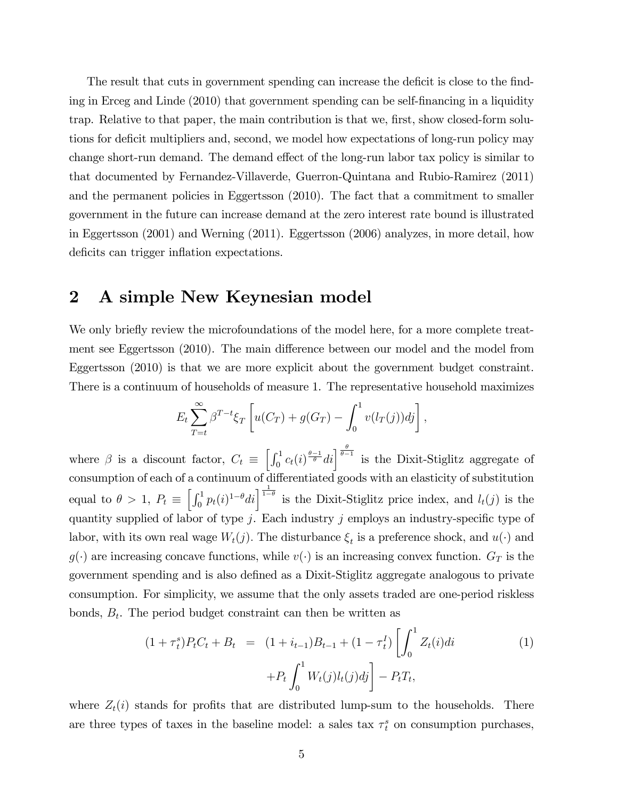The result that cuts in government spending can increase the deficit is close to the finding in Erceg and Linde (2010) that government spending can be self-Önancing in a liquidity trap. Relative to that paper, the main contribution is that we, first, show closed-form solutions for deficit multipliers and, second, we model how expectations of long-run policy may change short-run demand. The demand effect of the long-run labor tax policy is similar to that documented by Fernandez-Villaverde, Guerron-Quintana and Rubio-Ramirez (2011) and the permanent policies in Eggertsson (2010). The fact that a commitment to smaller government in the future can increase demand at the zero interest rate bound is illustrated in Eggertsson (2001) and Werning (2011). Eggertsson (2006) analyzes, in more detail, how deficits can trigger inflation expectations.

## 2 A simple New Keynesian model

We only briefly review the microfoundations of the model here, for a more complete treatment see Eggertsson (2010). The main difference between our model and the model from Eggertsson (2010) is that we are more explicit about the government budget constraint. There is a continuum of households of measure 1. The representative household maximizes

$$
E_t \sum_{T=t}^{\infty} \beta^{T-t} \xi_T \left[ u(C_T) + g(G_T) - \int_0^1 v(l_T(j)) d_j \right],
$$

where  $\beta$  is a discount factor,  $C_t \equiv \left[\int_0^1 c_t(i)^{\frac{\theta-1}{\theta}} di \right]^{\frac{\theta}{\theta-1}}$  is the Dixit-Stiglitz aggregate of consumption of each of a continuum of differentiated goods with an elasticity of substitution equal to  $\theta > 1$ ,  $P_t \equiv \left[\int_0^1 p_t(i)^{1-\theta} di\right]^{\frac{1}{1-\theta}}$  is the Dixit-Stiglitz price index, and  $l_t(j)$  is the quantity supplied of labor of type  $j$ . Each industry  $j$  employs an industry-specific type of labor, with its own real wage  $W_t(j)$ . The disturbance  $\xi_t$  is a preference shock, and  $u(\cdot)$  and  $g(\cdot)$  are increasing concave functions, while  $v(\cdot)$  is an increasing convex function.  $G_T$  is the government spending and is also defined as a Dixit-Stiglitz aggregate analogous to private consumption. For simplicity, we assume that the only assets traded are one-period riskless bonds,  $B_t$ . The period budget constraint can then be written as

$$
(1 + \tau_t^s)P_t C_t + B_t = (1 + i_{t-1})B_{t-1} + (1 - \tau_t^I) \left[ \int_0^1 Z_t(i)di + P_t \int_0^1 W_t(j)l_t(j)dj \right] - P_t T_t,
$$
\n(1)

where  $Z_t(i)$  stands for profits that are distributed lump-sum to the households. There are three types of taxes in the baseline model: a sales tax  $\tau_t^s$  on consumption purchases,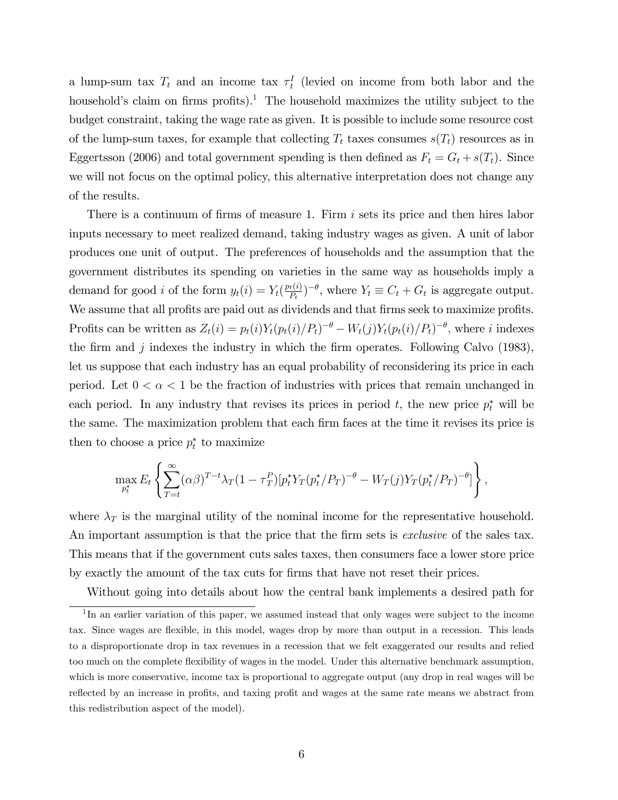a lump-sum tax  $T_t$  and an income tax  $\tau_t^I$  (levied on income from both labor and the household's claim on firms profits).<sup>1</sup> The household maximizes the utility subject to the budget constraint, taking the wage rate as given. It is possible to include some resource cost of the lump-sum taxes, for example that collecting  $T_t$  taxes consumes  $s(T_t)$  resources as in Eggertsson (2006) and total government spending is then defined as  $F_t = G_t + s(T_t)$ . Since we will not focus on the optimal policy, this alternative interpretation does not change any of the results.

There is a continuum of firms of measure 1. Firm  $i$  sets its price and then hires labor inputs necessary to meet realized demand, taking industry wages as given. A unit of labor produces one unit of output. The preferences of households and the assumption that the government distributes its spending on varieties in the same way as households imply a demand for good *i* of the form  $y_t(i) = Y_t(\frac{p_t(i)}{P_t})$  $\frac{H_t(i)}{P_t}$   $\bigg)$ <sup>- $\theta$ </sup>, where  $Y_t \equiv C_t + G_t$  is aggregate output. We assume that all profits are paid out as dividends and that firms seek to maximize profits. Profits can be written as  $Z_t(i) = p_t(i)Y_t(p_t(i)/P_t)^{-\theta} - W_t(j)Y_t(p_t(i)/P_t)^{-\theta}$ , where i indexes the firm and j indexes the industry in which the firm operates. Following Calvo  $(1983)$ , let us suppose that each industry has an equal probability of reconsidering its price in each period. Let  $0 < \alpha < 1$  be the fraction of industries with prices that remain unchanged in each period. In any industry that revises its prices in period t, the new price  $p_t^*$  will be the same. The maximization problem that each firm faces at the time it revises its price is then to choose a price  $p_t^*$  to maximize

$$
\max_{p_t^*} E_t \left\{ \sum_{T=t}^{\infty} (\alpha \beta)^{T-t} \lambda_T (1 - \tau_T^P) [p_t^* Y_T (p_t^*/P_T)^{-\theta} - W_T(j) Y_T (p_t^*/P_T)^{-\theta}] \right\},\,
$$

where  $\lambda_T$  is the marginal utility of the nominal income for the representative household. An important assumption is that the price that the firm sets is *exclusive* of the sales tax. This means that if the government cuts sales taxes, then consumers face a lower store price by exactly the amount of the tax cuts for Örms that have not reset their prices.

Without going into details about how the central bank implements a desired path for

<sup>&</sup>lt;sup>1</sup>In an earlier variation of this paper, we assumed instead that only wages were subject to the income tax. Since wages are flexible, in this model, wages drop by more than output in a recession. This leads to a disproportionate drop in tax revenues in a recession that we felt exaggerated our results and relied too much on the complete áexibility of wages in the model. Under this alternative benchmark assumption, which is more conservative, income tax is proportional to aggregate output (any drop in real wages will be reflected by an increase in profits, and taxing profit and wages at the same rate means we abstract from this redistribution aspect of the model).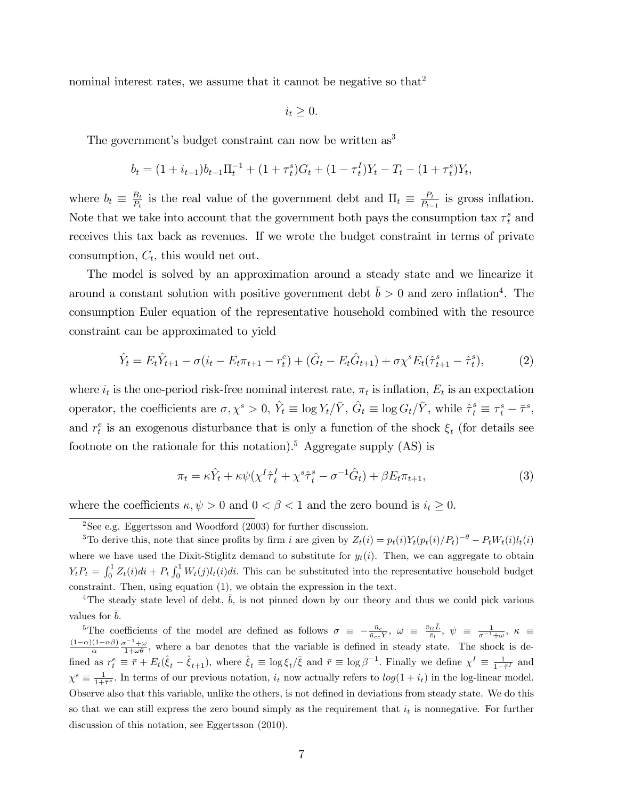nominal interest rates, we assume that it cannot be negative so that  $2^2$ 

$$
i_t \geq 0.
$$

The government's budget constraint can now be written  $as<sup>3</sup>$ 

$$
b_t = (1 + i_{t-1})b_{t-1}\Pi_t^{-1} + (1 + \tau_t^s)G_t + (1 - \tau_t^I)Y_t - T_t - (1 + \tau_t^s)Y_t,
$$

where  $b_t \equiv \frac{B_t}{P_t}$  $\frac{B_t}{P_t}$  is the real value of the government debt and  $\Pi_t \equiv \frac{P_t}{P_{t-}}$  $\frac{P_t}{P_{t-1}}$  is gross inflation. Note that we take into account that the government both pays the consumption tax  $\tau_t^s$  and receives this tax back as revenues. If we wrote the budget constraint in terms of private consumption,  $C_t$ , this would net out.

The model is solved by an approximation around a steady state and we linearize it around a constant solution with positive government debt  $\bar{b} > 0$  and zero inflation<sup>4</sup>. The consumption Euler equation of the representative household combined with the resource constraint can be approximated to yield

$$
\hat{Y}_t = E_t \hat{Y}_{t+1} - \sigma(i_t - E_t \pi_{t+1} - r_t^e) + (\hat{G}_t - E_t \hat{G}_{t+1}) + \sigma \chi^s E_t (\hat{\tau}_{t+1}^s - \hat{\tau}_t^s),\tag{2}
$$

where  $i_t$  is the one-period risk-free nominal interest rate,  $\pi_t$  is inflation,  $E_t$  is an expectation operator, the coefficients are  $\sigma, \chi^s > 0$ ,  $\hat{Y}_t \equiv \log Y_t / \bar{Y}$ ,  $\hat{G}_t \equiv \log G_t / \bar{Y}$ , while  $\hat{\tau}_t^s \equiv \tau_t^s - \bar{\tau}^s$ , and  $r_t^e$  is an exogenous disturbance that is only a function of the shock  $\xi_t$  (for details see footnote on the rationale for this notation).<sup>5</sup> Aggregate supply  $(AS)$  is

$$
\pi_t = \kappa \hat{Y}_t + \kappa \psi (\chi^I \hat{\tau}_t^I + \chi^s \hat{\tau}_t^s - \sigma^{-1} \hat{G}_t) + \beta E_t \pi_{t+1},\tag{3}
$$

where the coefficients  $\kappa, \psi > 0$  and  $0 < \beta < 1$  and the zero bound is  $i_t \geq 0$ .

<sup>2</sup>See e.g. Eggertsson and Woodford (2003) for further discussion.

<sup>&</sup>lt;sup>3</sup>To derive this, note that since profits by firm *i* are given by  $Z_t(i) = p_t(i)Y_t(p_t(i)/P_t)^{-\theta} - P_tW_t(i)l_t(i)$ where we have used the Dixit-Stiglitz demand to substitute for  $y_t(i)$ . Then, we can aggregate to obtain  $Y_t P_t = \int_0^1 Z_t(i)di + P_t \int_0^1 W_t(j)l_t(i)di$ . This can be substituted into the representative household budget constraint. Then, using equation (1), we obtain the expression in the text.

<sup>&</sup>lt;sup>4</sup>The steady state level of debt,  $b$ , is not pinned down by our theory and thus we could pick various values for  $\bar{b}$ .

<sup>&</sup>lt;sup>5</sup>The coefficients of the model are defined as follows  $\sigma \equiv -\frac{\bar{u}_c}{\bar{u}_{cc}\bar{Y}}$ ,  $\omega \equiv \frac{\bar{v}_{ll}\bar{L}}{\bar{v}_l}$ ,  $\psi \equiv \frac{1}{\sigma^{-1}+\omega}$ ,  $\kappa \equiv$  $\frac{(1-\alpha)(1-\alpha\beta)}{\alpha} \frac{\sigma^{-1}+\omega}{1+\omega\theta}$ , where a bar denotes that the variable is defined in steady state. The shock is defined as  $r_t^e \equiv \bar{r} + E_t(\hat{\xi}_t - \hat{\xi}_{t+1}),$  where  $\hat{\xi}_t \equiv \log \xi_t / \bar{\xi}$  and  $\bar{r} \equiv \log \beta^{-1}$ . Finally we define  $\chi^I \equiv \frac{1}{1-\bar{\tau}^I}$  and  $\chi^s \equiv \frac{1}{1+\bar{\tau}^s}$ . In terms of our previous notation,  $i_t$  now actually refers to  $\log(1+i_t)$  in the log-linear model. Observe also that this variable, unlike the others, is not defined in deviations from steady state. We do this so that we can still express the zero bound simply as the requirement that  $i_t$  is nonnegative. For further discussion of this notation, see Eggertsson (2010).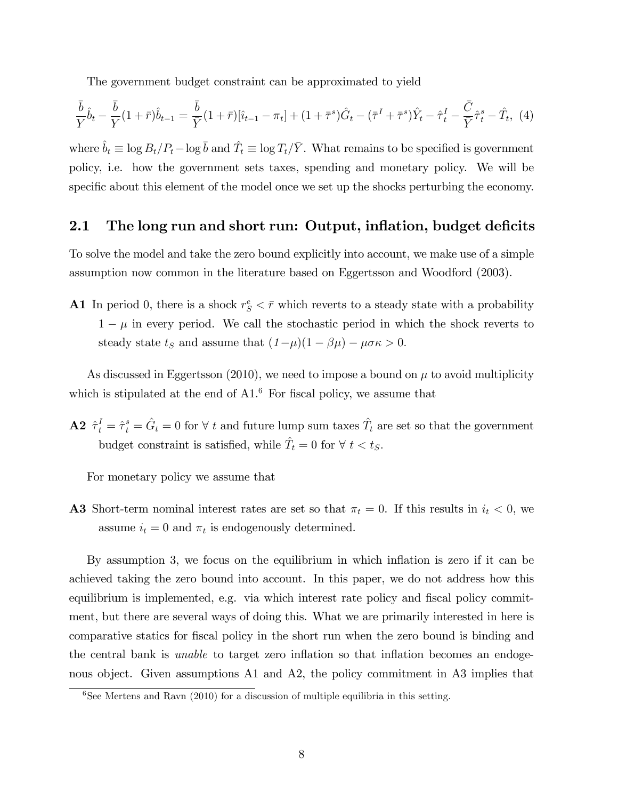The government budget constraint can be approximated to yield

$$
\frac{\bar{b}}{Y}\hat{b}_t - \frac{\bar{b}}{Y}(1+\bar{r})\hat{b}_{t-1} = \frac{\bar{b}}{\bar{Y}}(1+\bar{r})[\hat{i}_{t-1} - \pi_t] + (1+\bar{\tau}^s)\hat{G}_t - (\bar{\tau}^I + \bar{\tau}^s)\hat{Y}_t - \hat{\tau}_t^I - \frac{\bar{C}}{\bar{Y}}\hat{\tau}_t^s - \hat{T}_t, (4)
$$

where  $\hat{b}_t \equiv \log B_t/P_t - \log \bar{b}$  and  $\hat{T}_t \equiv \log T_t/\bar{Y}$ . What remains to be specified is government policy, i.e. how the government sets taxes, spending and monetary policy. We will be specific about this element of the model once we set up the shocks perturbing the economy.

#### 2.1 The long run and short run: Output, inflation, budget deficits

To solve the model and take the zero bound explicitly into account, we make use of a simple assumption now common in the literature based on Eggertsson and Woodford (2003).

A1 In period 0, there is a shock  $r_S^e < \bar{r}$  which reverts to a steady state with a probability  $1 - \mu$  in every period. We call the stochastic period in which the shock reverts to steady state  $t_S$  and assume that  $(1-\mu)(1 - \beta \mu) - \mu \sigma \kappa > 0$ .

As discussed in Eggertsson (2010), we need to impose a bound on  $\mu$  to avoid multiplicity which is stipulated at the end of  $A1<sup>6</sup>$  For fiscal policy, we assume that

**A2**  $\hat{\tau}_t^I = \hat{\tau}_t^s = \hat{G}_t = 0$  for  $\forall$  t and future lump sum taxes  $\hat{T}_t$  are set so that the government budget constraint is satisfied, while  $\hat{T}_t = 0$  for  $\forall t < t_S$ .

For monetary policy we assume that

**A3** Short-term nominal interest rates are set so that  $\pi_t = 0$ . If this results in  $i_t < 0$ , we assume  $i_t = 0$  and  $\pi_t$  is endogenously determined.

By assumption 3, we focus on the equilibrium in which inflation is zero if it can be achieved taking the zero bound into account. In this paper, we do not address how this equilibrium is implemented, e.g. via which interest rate policy and fiscal policy commitment, but there are several ways of doing this. What we are primarily interested in here is comparative statics for Öscal policy in the short run when the zero bound is binding and the central bank is *unable* to target zero inflation so that inflation becomes an endogenous object. Given assumptions A1 and A2, the policy commitment in A3 implies that

 $6$ See Mertens and Ravn (2010) for a discussion of multiple equilibria in this setting.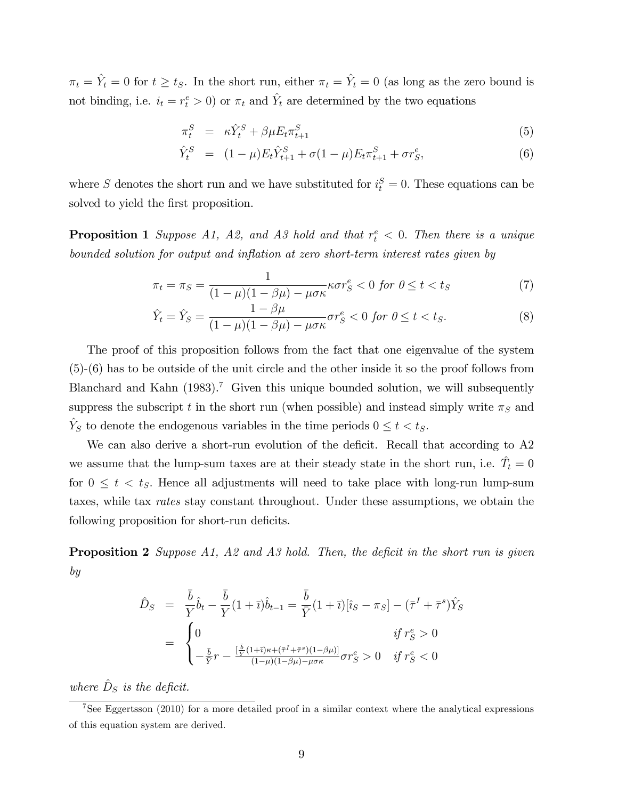$\pi_t = \hat{Y}_t = 0$  for  $t \ge t_s$ . In the short run, either  $\pi_t = \hat{Y}_t = 0$  (as long as the zero bound is not binding, i.e.  $i_t = r_t^e > 0$  or  $\pi_t$  and  $\hat{Y}_t$  are determined by the two equations

$$
\pi_t^S = \kappa \hat{Y}_t^S + \beta \mu E_t \pi_{t+1}^S \tag{5}
$$

$$
\hat{Y}_t^S = (1 - \mu) E_t \hat{Y}_{t+1}^S + \sigma (1 - \mu) E_t \pi_{t+1}^S + \sigma r_S^e,
$$
\n(6)

where S denotes the short run and we have substituted for  $i_t^S = 0$ . These equations can be solved to yield the first proposition.

**Proposition 1** Suppose A1, A2, and A3 hold and that  $r_t^e < 0$ . Then there is a unique bounded solution for output and inflation at zero short-term interest rates given by

$$
\pi_t = \pi_S = \frac{1}{(1 - \mu)(1 - \beta\mu) - \mu\sigma\kappa} \kappa \sigma r_S^e < 0 \text{ for } 0 \le t < t_S \tag{7}
$$

$$
\hat{Y}_t = \hat{Y}_S = \frac{1 - \beta\mu}{(1 - \mu)(1 - \beta\mu) - \mu\sigma\kappa} \sigma r_S^e < 0 \text{ for } 0 \le t < t_S. \tag{8}
$$

The proof of this proposition follows from the fact that one eigenvalue of the system (5)-(6) has to be outside of the unit circle and the other inside it so the proof follows from Blanchard and Kahn  $(1983)$ .<sup>7</sup> Given this unique bounded solution, we will subsequently suppress the subscript t in the short run (when possible) and instead simply write  $\pi_S$  and  $\hat{Y}_S$  to denote the endogenous variables in the time periods  $0 \le t < t_S$ .

We can also derive a short-run evolution of the deficit. Recall that according to A2 we assume that the lump-sum taxes are at their steady state in the short run, i.e.  $\hat{T}_t = 0$ for  $0 \leq t \leq t_s$ . Hence all adjustments will need to take place with long-run lump-sum taxes, while tax rates stay constant throughout. Under these assumptions, we obtain the following proposition for short-run deficits.

**Proposition 2** Suppose A1, A2 and A3 hold. Then, the deficit in the short run is given by

$$
\hat{D}_{S} = \frac{\bar{b}}{Y}\hat{b}_{t} - \frac{\bar{b}}{Y}(1+\bar{\imath})\hat{b}_{t-1} = \frac{\bar{b}}{Y}(1+\bar{\imath})[\hat{\imath}_{S} - \pi_{S}] - (\bar{\tau}^{I} + \bar{\tau}^{s})\hat{Y}_{S}
$$
\n
$$
= \begin{cases}\n0 & \text{if } r_{S}^{e} > 0 \\
-\frac{\bar{b}}{Y}r - \frac{[\frac{\bar{b}}{Y}(1+\bar{\imath})\kappa + (\bar{\tau}^{I} + \bar{\tau}^{s})(1-\beta\mu)]}{(1-\mu)(1-\beta\mu) - \mu\sigma\kappa}\sigma r_{S}^{e} > 0 & \text{if } r_{S}^{e} < 0\n\end{cases}
$$

where  $\hat{D}_S$  is the deficit.

<sup>&</sup>lt;sup>7</sup>See Eggertsson (2010) for a more detailed proof in a similar context where the analytical expressions of this equation system are derived.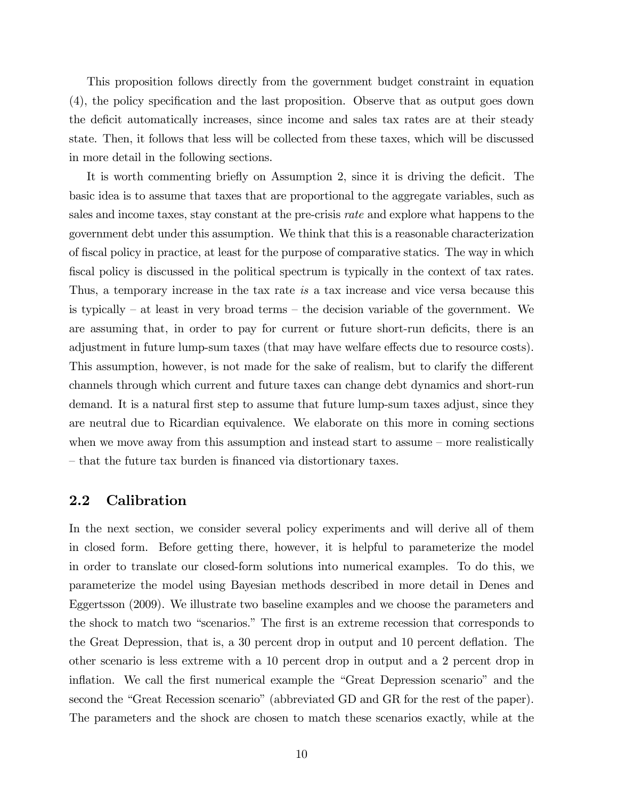This proposition follows directly from the government budget constraint in equation (4), the policy specification and the last proposition. Observe that as output goes down the deficit automatically increases, since income and sales tax rates are at their steady state. Then, it follows that less will be collected from these taxes, which will be discussed in more detail in the following sections.

It is worth commenting briefly on Assumption 2, since it is driving the deficit. The basic idea is to assume that taxes that are proportional to the aggregate variables, such as sales and income taxes, stay constant at the pre-crisis rate and explore what happens to the government debt under this assumption. We think that this is a reasonable characterization of Öscal policy in practice, at least for the purpose of comparative statics. The way in which fiscal policy is discussed in the political spectrum is typically in the context of tax rates. Thus, a temporary increase in the tax rate is a tax increase and vice versa because this is typically  $-$  at least in very broad terms  $-$  the decision variable of the government. We are assuming that, in order to pay for current or future short-run deficits, there is an adjustment in future lump-sum taxes (that may have welfare effects due to resource costs). This assumption, however, is not made for the sake of realism, but to clarify the different channels through which current and future taxes can change debt dynamics and short-run demand. It is a natural first step to assume that future lump-sum taxes adjust, since they are neutral due to Ricardian equivalence. We elaborate on this more in coming sections when we move away from this assumption and instead start to assume  $-$  more realistically – that the future tax burden is financed via distortionary taxes.

#### 2.2 Calibration

In the next section, we consider several policy experiments and will derive all of them in closed form. Before getting there, however, it is helpful to parameterize the model in order to translate our closed-form solutions into numerical examples. To do this, we parameterize the model using Bayesian methods described in more detail in Denes and Eggertsson (2009). We illustrate two baseline examples and we choose the parameters and the shock to match two "scenarios." The first is an extreme recession that corresponds to the Great Depression, that is, a 30 percent drop in output and 10 percent deflation. The other scenario is less extreme with a 10 percent drop in output and a 2 percent drop in inflation. We call the first numerical example the "Great Depression scenario" and the second the "Great Recession scenario" (abbreviated GD and GR for the rest of the paper). The parameters and the shock are chosen to match these scenarios exactly, while at the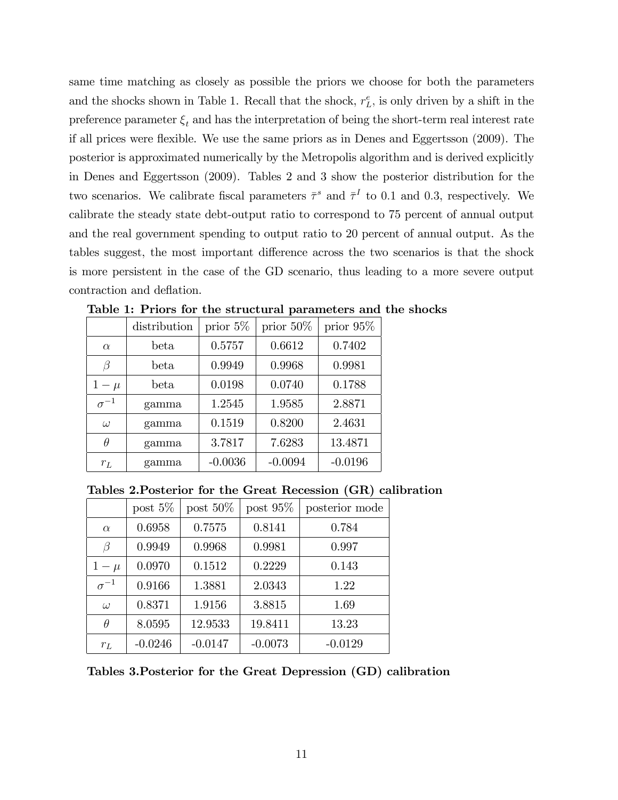same time matching as closely as possible the priors we choose for both the parameters and the shocks shown in Table 1. Recall that the shock,  $r_L^e$ , is only driven by a shift in the preference parameter  $\xi_t$  and has the interpretation of being the short-term real interest rate if all prices were áexible. We use the same priors as in Denes and Eggertsson (2009). The posterior is approximated numerically by the Metropolis algorithm and is derived explicitly in Denes and Eggertsson (2009). Tables 2 and 3 show the posterior distribution for the two scenarios. We calibrate fiscal parameters  $\bar{\tau}^s$  and  $\bar{\tau}^I$  to 0.1 and 0.3, respectively. We calibrate the steady state debt-output ratio to correspond to 75 percent of annual output and the real government spending to output ratio to 20 percent of annual output. As the tables suggest, the most important difference across the two scenarios is that the shock is more persistent in the case of the GD scenario, thus leading to a more severe output contraction and deflation.

|               | distribution | prior $5\%$ | prior $50\%$ | prior 95% |
|---------------|--------------|-------------|--------------|-----------|
| $\alpha$      | beta         | 0.5757      | 0.6612       | 0.7402    |
| β             | beta.        | 0.9949      | 0.9968       | 0.9981    |
| $1-\mu$       | beta         | 0.0198      | 0.0740       | 0.1788    |
| $\sigma^{-1}$ | gamma        | 1.2545      | 1.9585       | 2.8871    |
| $\omega$      | gamma        | 0.1519      | 0.8200       | 2.4631    |
| $\theta$      | gamma        | 3.7817      | 7.6283       | 13.4871   |
| $r_L$         | gamma        | $-0.0036$   | $-0.0094$    | $-0.0196$ |

Table 1: Priors for the structural parameters and the shocks

Tables 2.Posterior for the Great Recession (GR) calibration

|               | post $5\%$ | post $50\%$ | post $95%$ | posterior mode |
|---------------|------------|-------------|------------|----------------|
| $\alpha$      | 0.6958     | 0.7575      | 0.8141     | 0.784          |
| β             | 0.9949     | 0.9968      | 0.9981     | 0.997          |
| $1-\mu$       | 0.0970     | 0.1512      | 0.2229     | 0.143          |
| $\sigma^{-1}$ | 0.9166     | 1.3881      | 2.0343     | 1.22           |
| $\omega$      | 0.8371     | 1.9156      | 3.8815     | 1.69           |
| $\theta$      | 8.0595     | 12.9533     | 19.8411    | 13.23          |
| $r_L$         | $-0.0246$  | $-0.0147$   | $-0.0073$  | $-0.0129$      |

Tables 3.Posterior for the Great Depression (GD) calibration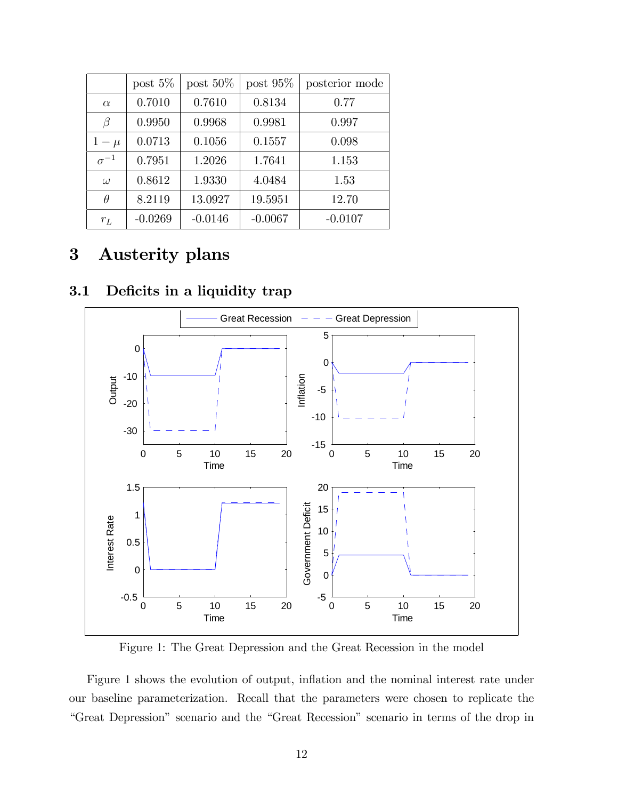|               | post $5\%$ | post $50\%$ | post 95%  | posterior mode |
|---------------|------------|-------------|-----------|----------------|
| $\alpha$      | 0.7010     | 0.7610      | 0.8134    | 0.77           |
| β             | 0.9950     | 0.9968      | 0.9981    | 0.997          |
| $1-\mu$       | 0.0713     | 0.1056      | 0.1557    | 0.098          |
| $\sigma^{-1}$ | 0.7951     | 1.2026      | 1.7641    | 1.153          |
| $\omega$      | 0.8612     | 1.9330      | 4.0484    | 1.53           |
| $\theta$      | 8.2119     | 13.0927     | 19.5951   | 12.70          |
| $r_L$         | $-0.0269$  | $-0.0146$   | $-0.0067$ | $-0.0107$      |

## 3 Austerity plans





Figure 1: The Great Depression and the Great Recession in the model

Figure 1 shows the evolution of output, inflation and the nominal interest rate under our baseline parameterization. Recall that the parameters were chosen to replicate the "Great Depression" scenario and the "Great Recession" scenario in terms of the drop in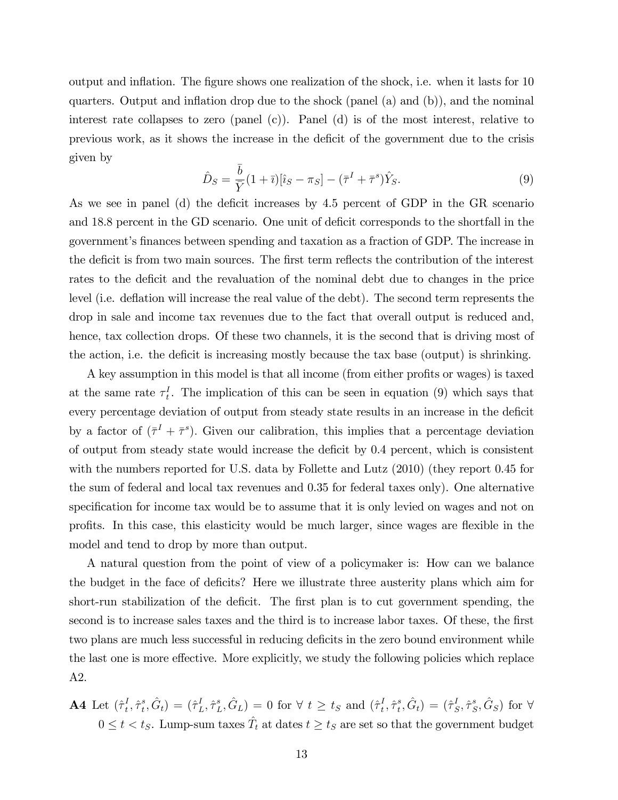output and inflation. The figure shows one realization of the shock, i.e. when it lasts for 10 quarters. Output and inflation drop due to the shock (panel  $(a)$  and  $(b)$ ), and the nominal interest rate collapses to zero (panel (c)). Panel (d) is of the most interest, relative to previous work, as it shows the increase in the deÖcit of the government due to the crisis given by

$$
\hat{D}_S = \frac{\bar{b}}{\bar{Y}} (1+\bar{\imath}) [\hat{\imath}_S - \pi_S] - (\bar{\tau}^I + \bar{\tau}^s) \hat{Y}_S.
$$
\n(9)

As we see in panel (d) the deficit increases by 4.5 percent of GDP in the GR scenario and 18.8 percent in the GD scenario. One unit of deficit corresponds to the shortfall in the government's finances between spending and taxation as a fraction of GDP. The increase in the deficit is from two main sources. The first term reflects the contribution of the interest rates to the deficit and the revaluation of the nominal debt due to changes in the price level (i.e. deflation will increase the real value of the debt). The second term represents the drop in sale and income tax revenues due to the fact that overall output is reduced and, hence, tax collection drops. Of these two channels, it is the second that is driving most of the action, i.e. the deficit is increasing mostly because the tax base (output) is shrinking.

A key assumption in this model is that all income (from either profits or wages) is taxed at the same rate  $\tau_t^I$ . The implication of this can be seen in equation (9) which says that every percentage deviation of output from steady state results in an increase in the deficit by a factor of  $({\bar \tau}^I + {\bar \tau}^s)$ . Given our calibration, this implies that a percentage deviation of output from steady state would increase the deficit by  $0.4$  percent, which is consistent with the numbers reported for U.S. data by Follette and Lutz (2010) (they report 0.45 for the sum of federal and local tax revenues and 0.35 for federal taxes only). One alternative specification for income tax would be to assume that it is only levied on wages and not on profits. In this case, this elasticity would be much larger, since wages are flexible in the model and tend to drop by more than output.

A natural question from the point of view of a policymaker is: How can we balance the budget in the face of deficits? Here we illustrate three austerity plans which aim for short-run stabilization of the deficit. The first plan is to cut government spending, the second is to increase sales taxes and the third is to increase labor taxes. Of these, the first two plans are much less successful in reducing deficits in the zero bound environment while the last one is more effective. More explicitly, we study the following policies which replace A2.

**A4** Let  $(\hat{\tau}_t^I)$  $_{t}^{I},\hat{\tau}_{t}^{s}$  $t^s, \hat{G}_t) = (\hat{\tau}^I_L)$  $_{L}^{I},\hat{\tau}_{L}^{s}$  $\hat{G}_L(\hat{G}_L) = 0$  for  $\forall t \ge t_S$  and  $(\hat{\tau}_t^I)$  $_{t}^{I},\hat{\tau}_{t}^{s}$  $t^s, \hat{G}_t) = (\hat{\tau}_S^I$  $^I_S, \hat{\tau}^s_S$  $_{S}^{s}, \hat{G}_{S}$  for  $\forall$  $0 \le t < t_S$ . Lump-sum taxes  $\hat{T}_t$  at dates  $t \ge t_S$  are set so that the government budget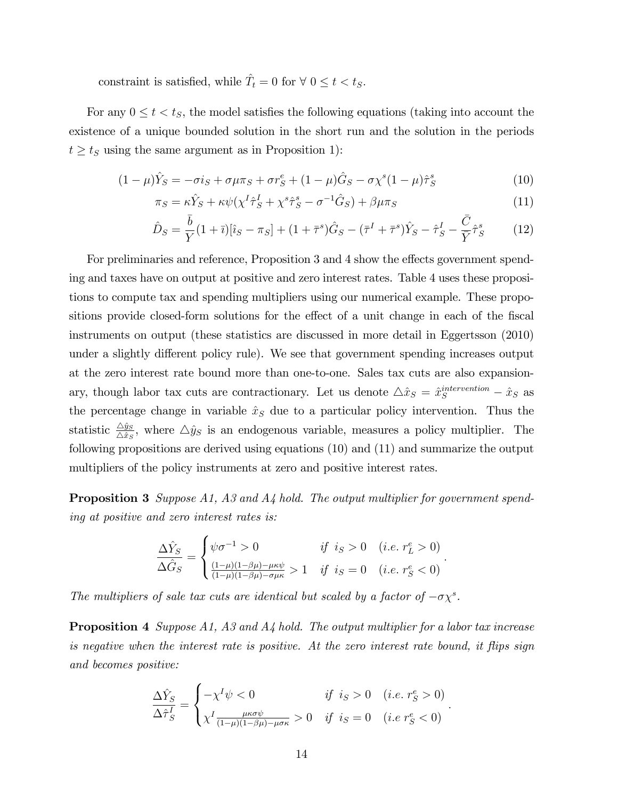constraint is satisfied, while  $\hat{T}_t = 0$  for  $\forall$  0  $\leq t < t_S$ .

For any  $0 \le t < t_s$ , the model satisfies the following equations (taking into account the existence of a unique bounded solution in the short run and the solution in the periods  $t \ge t_s$  using the same argument as in Proposition 1):

$$
(1 - \mu)\hat{Y}_S = -\sigma i_S + \sigma \mu \pi_S + \sigma r_S^e + (1 - \mu)\hat{G}_S - \sigma \chi^s (1 - \mu)\hat{\tau}_S^s
$$
(10)

$$
\pi_S = \kappa \hat{Y}_S + \kappa \psi (\chi^I \hat{\tau}_S^I + \chi^s \hat{\tau}_S^s - \sigma^{-1} \hat{G}_S) + \beta \mu \pi_S \tag{11}
$$

$$
\hat{D}_S = \frac{\bar{b}}{Y}(1+\bar{\imath})[\hat{\imath}_S - \pi_S] + (1+\bar{\tau}^s)\hat{G}_S - (\bar{\tau}^I + \bar{\tau}^s)\hat{Y}_S - \hat{\tau}_S^I - \frac{\bar{C}}{\bar{Y}}\hat{\tau}_S^s \tag{12}
$$

For preliminaries and reference, Proposition 3 and 4 show the effects government spending and taxes have on output at positive and zero interest rates. Table 4 uses these propositions to compute tax and spending multipliers using our numerical example. These propositions provide closed-form solutions for the effect of a unit change in each of the fiscal instruments on output (these statistics are discussed in more detail in Eggertsson (2010) under a slightly different policy rule). We see that government spending increases output at the zero interest rate bound more than one-to-one. Sales tax cuts are also expansionary, though labor tax cuts are contractionary. Let us denote  $\triangle \hat{x}_S = \hat{x}_S^{intervention} - \hat{x}_S$  as the percentage change in variable  $\hat{x}_S$  due to a particular policy intervention. Thus the statistic  $\frac{\triangle \hat{y}_S}{\triangle \hat{x}_S}$ , where  $\triangle \hat{y}_S$  is an endogenous variable, measures a policy multiplier. The following propositions are derived using equations (10) and (11) and summarize the output multipliers of the policy instruments at zero and positive interest rates.

**Proposition 3** Suppose A1, A3 and A4 hold. The output multiplier for government spending at positive and zero interest rates is:

$$
\frac{\Delta \hat{Y}_S}{\Delta \hat{G}_S} = \begin{cases} \psi \sigma^{-1} > 0 & \text{if } i_S > 0 \quad (i.e. \; r_L^e > 0) \\ \frac{(1-\mu)(1-\beta\mu) - \mu \kappa \psi}{(1-\mu)(1-\beta\mu) - \sigma \mu \kappa} > 1 & \text{if } i_S = 0 \quad (i.e. \; r_S^e < 0) \end{cases}.
$$

The multipliers of sale tax cuts are identical but scaled by a factor of  $-\sigma\chi^s$ .

**Proposition 4** Suppose A1, A3 and A4 hold. The output multiplier for a labor tax increase is negative when the interest rate is positive. At the zero interest rate bound, it flips sign and becomes positive:

$$
\frac{\Delta \hat{Y}_S}{\Delta \hat{\tau}_S^I} = \begin{cases}\n-\chi^I \psi < 0 \\
\chi^I \frac{\mu \kappa \sigma \psi}{(1 - \mu)(1 - \beta \mu) - \mu \sigma \kappa} > 0 \quad \text{if } i_S = 0 \quad (i.e. \, r_S^e < 0)\n\end{cases}
$$

: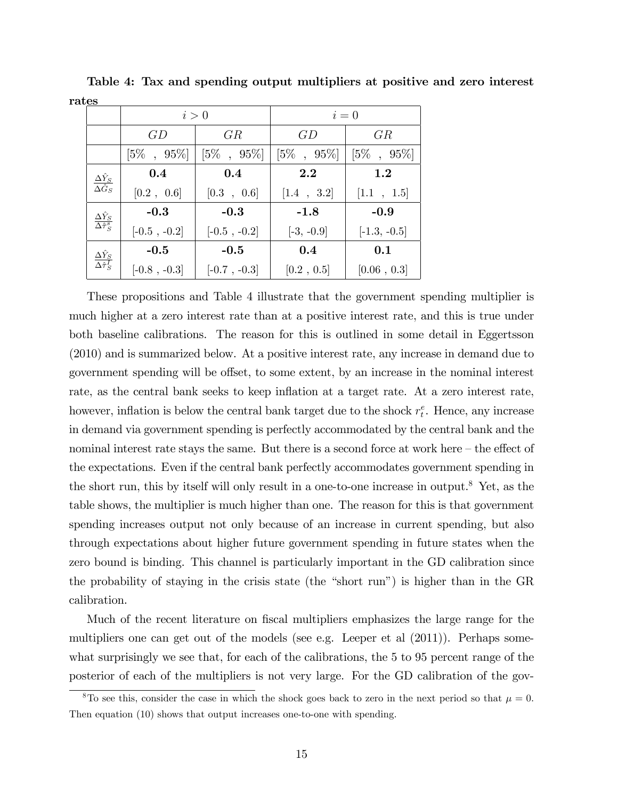| ັບບ                                              |                |                |                |                |  |  |
|--------------------------------------------------|----------------|----------------|----------------|----------------|--|--|
|                                                  | i>0            |                | $i=0$          |                |  |  |
|                                                  | GD             | GR<br>GD       |                | GR             |  |  |
|                                                  | $[5\% , 95\%]$ | $[5\% , 95\%]$ | $[5\% , 95\%]$ | $[5\% , 95\%]$ |  |  |
| $\frac{\Delta \hat{Y}_S}{\Delta \hat{G}_S}$      | 0.4            | 0.4            | 2.2            | 1.2            |  |  |
|                                                  | [0.2, 0.6]     | [0.3, 0.6]     | [1.4, 3.2]     | [1.1, 1.5]     |  |  |
| $\frac{\Delta \hat{Y}_S}{\Delta \hat{\tau}^s_S}$ | $-0.3$         | $-0.3$         | $-1.8$         | $-0.9$         |  |  |
|                                                  | $[-0.5, -0.2]$ | $[-0.5, -0.2]$ | $[-3, -0.9]$   | $[-1.3, -0.5]$ |  |  |
|                                                  | $-0.5$         | $-0.5$         | 0.4            | 0.1            |  |  |
| $\frac{\Delta \hat{Y}_S}{\Delta \hat{\tau}^I_S}$ | $[-0.8, -0.3]$ | $[-0.7, -0.3]$ | [0.2, 0.5]     | [0.06, 0.3]    |  |  |

Table 4: Tax and spending output multipliers at positive and zero interest rates

These propositions and Table 4 illustrate that the government spending multiplier is much higher at a zero interest rate than at a positive interest rate, and this is true under both baseline calibrations. The reason for this is outlined in some detail in Eggertsson (2010) and is summarized below. At a positive interest rate, any increase in demand due to government spending will be offset, to some extent, by an increase in the nominal interest rate, as the central bank seeks to keep inflation at a target rate. At a zero interest rate, however, inflation is below the central bank target due to the shock  $r_t^e$ . Hence, any increase in demand via government spending is perfectly accommodated by the central bank and the nominal interest rate stays the same. But there is a second force at work here  $-$  the effect of the expectations. Even if the central bank perfectly accommodates government spending in the short run, this by itself will only result in a one-to-one increase in output.<sup>8</sup> Yet, as the table shows, the multiplier is much higher than one. The reason for this is that government spending increases output not only because of an increase in current spending, but also through expectations about higher future government spending in future states when the zero bound is binding. This channel is particularly important in the GD calibration since the probability of staying in the crisis state (the "short run") is higher than in the  $GR$ calibration.

Much of the recent literature on fiscal multipliers emphasizes the large range for the multipliers one can get out of the models (see e.g. Leeper et al (2011)). Perhaps somewhat surprisingly we see that, for each of the calibrations, the 5 to 95 percent range of the posterior of each of the multipliers is not very large. For the GD calibration of the gov-

<sup>&</sup>lt;sup>8</sup>To see this, consider the case in which the shock goes back to zero in the next period so that  $\mu = 0$ . Then equation (10) shows that output increases one-to-one with spending.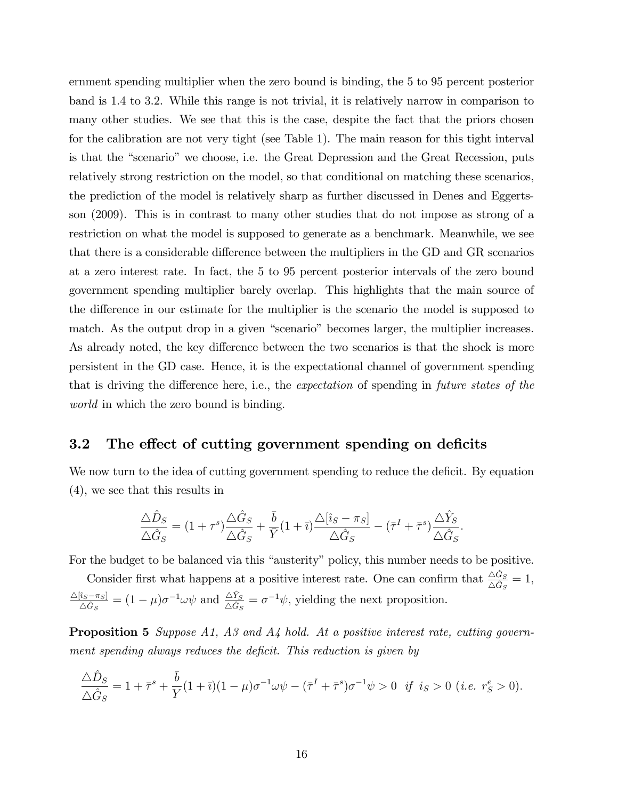ernment spending multiplier when the zero bound is binding, the 5 to 95 percent posterior band is 1.4 to 3.2. While this range is not trivial, it is relatively narrow in comparison to many other studies. We see that this is the case, despite the fact that the priors chosen for the calibration are not very tight (see Table 1). The main reason for this tight interval is that the "scenario" we choose, i.e. the Great Depression and the Great Recession, puts relatively strong restriction on the model, so that conditional on matching these scenarios, the prediction of the model is relatively sharp as further discussed in Denes and Eggertsson (2009). This is in contrast to many other studies that do not impose as strong of a restriction on what the model is supposed to generate as a benchmark. Meanwhile, we see that there is a considerable difference between the multipliers in the GD and GR scenarios at a zero interest rate. In fact, the 5 to 95 percent posterior intervals of the zero bound government spending multiplier barely overlap. This highlights that the main source of the difference in our estimate for the multiplier is the scenario the model is supposed to match. As the output drop in a given "scenario" becomes larger, the multiplier increases. As already noted, the key difference between the two scenarios is that the shock is more persistent in the GD case. Hence, it is the expectational channel of government spending that is driving the difference here, i.e., the *expectation* of spending in *future states of the* world in which the zero bound is binding.

#### 3.2 The effect of cutting government spending on deficits

We now turn to the idea of cutting government spending to reduce the deficit. By equation (4), we see that this results in

$$
\frac{\Delta \hat{D}_S}{\Delta \hat{G}_S} = (1 + \tau^s) \frac{\Delta \hat{G}_S}{\Delta \hat{G}_S} + \frac{\bar{b}}{\bar{Y}} (1 + \bar{\imath}) \frac{\Delta [\hat{\imath}_S - \pi_S]}{\Delta \hat{G}_S} - (\bar{\tau}^I + \bar{\tau}^s) \frac{\Delta \hat{Y}_S}{\Delta \hat{G}_S}.
$$

For the budget to be balanced via this "austerity" policy, this number needs to be positive.

Consider first what happens at a positive interest rate. One can confirm that  $\frac{\Delta \hat{G}_S}{\Delta \hat{G}_S} = 1$ ,  $\frac{\triangle[\hat{\imath}_S-\pi_S]}{2}$  $\frac{[\hat{i}_S - \pi_S]}{\Delta \hat{G}_S} = (1 - \mu) \sigma^{-1} \omega \psi$  and  $\frac{\Delta \hat{Y}_S}{\Delta \hat{G}_S} = \sigma^{-1} \psi$ , yielding the next proposition.

**Proposition 5** Suppose A1, A3 and A4 hold. At a positive interest rate, cutting government spending always reduces the deficit. This reduction is given by

$$
\frac{\triangle \hat{D}_S}{\triangle \hat{G}_S} = 1 + \bar{\tau}^s + \frac{\bar{b}}{Y}(1+\bar{\tau})(1-\mu)\sigma^{-1}\omega\psi - (\bar{\tau}^I + \bar{\tau}^s)\sigma^{-1}\psi > 0 \text{ if } i_S > 0 \text{ (i.e. } r_S^e > 0).
$$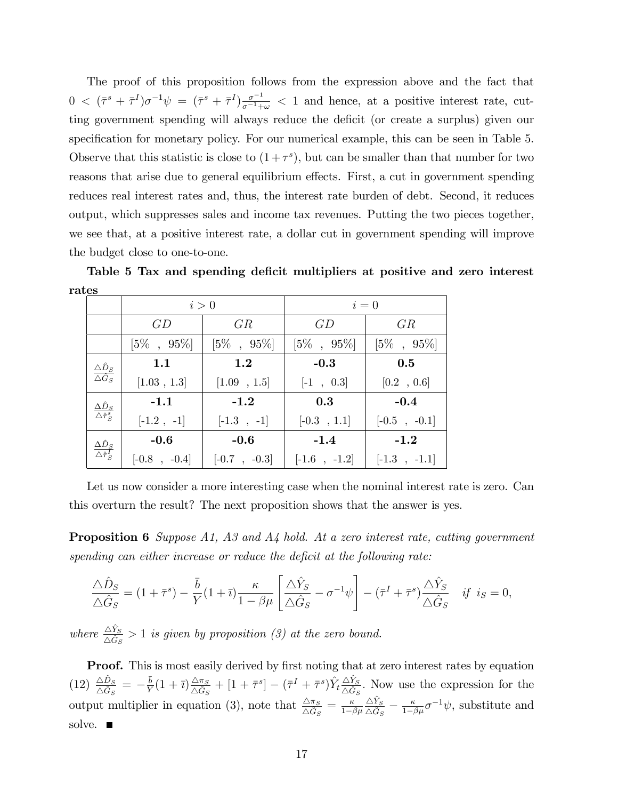The proof of this proposition follows from the expression above and the fact that  $0 < (\bar{\tau}^s + \bar{\tau}^I)\sigma^{-1}\psi = (\bar{\tau}^s + \bar{\tau}^I)\frac{\sigma^{-1}}{\sigma^{-1}+\omega}$  < 1 and hence, at a positive interest rate, cutting government spending will always reduce the deficit (or create a surplus) given our specification for monetary policy. For our numerical example, this can be seen in Table 5. Observe that this statistic is close to  $(1+\tau^s)$ , but can be smaller than that number for two reasons that arise due to general equilibrium effects. First, a cut in government spending reduces real interest rates and, thus, the interest rate burden of debt. Second, it reduces output, which suppresses sales and income tax revenues. Putting the two pieces together, we see that, at a positive interest rate, a dollar cut in government spending will improve the budget close to one-to-one.

| .uUJ                                              |                |                |                |                |  |
|---------------------------------------------------|----------------|----------------|----------------|----------------|--|
|                                                   | i>0            |                | $i=0$          |                |  |
|                                                   | GD             | GR             | GD             | GR             |  |
|                                                   | $[5\% , 95\%]$ | $[5\% , 95\%]$ | $[5\% , 95\%]$ | $[5\% , 95\%]$ |  |
| $\frac{\triangle \hat{D}_S}{\triangle \hat{G}_S}$ | 1.1            | 1.2            | $-0.3$         | $0.5\,$        |  |
|                                                   | [1.03, 1.3]    | [1.09, 1.5]    | $[-1, 0.3]$    | [0.2, 0.6]     |  |
| $\frac{\Delta \hat{D}_S}{\Delta \hat{\tau}_S^s}$  | $-1.1$         | $-1.2$         | 0.3            | $-0.4$         |  |
|                                                   | $[-1.2, -1]$   | $[-1.3, -1]$   | $[-0.3, 1.1]$  | $[-0.5, -0.1]$ |  |
|                                                   | $-0.6$         | $-0.6$         | $-1.4$         | $-1.2$         |  |
| $\frac{\Delta \hat{D}_S}{\Delta \hat{\tau}_S^I}$  | $[-0.8, -0.4]$ | $[-0.7, -0.3]$ | $[-1.6, -1.2]$ | $[-1.3, -1.1]$ |  |

Table 5 Tax and spending deficit multipliers at positive and zero interest rates

Let us now consider a more interesting case when the nominal interest rate is zero. Can this overturn the result? The next proposition shows that the answer is yes.

**Proposition 6** Suppose A1, A3 and A4 hold. At a zero interest rate, cutting government spending can either increase or reduce the deficit at the following rate:

$$
\frac{\Delta \hat{D}_S}{\Delta \hat{G}_S} = (1 + \bar{\tau}^s) - \frac{\bar{b}}{Y}(1 + \bar{\tau}) \frac{\kappa}{1 - \beta \mu} \left[ \frac{\Delta \hat{Y}_S}{\Delta \hat{G}_S} - \sigma^{-1} \psi \right] - (\bar{\tau}^I + \bar{\tau}^s) \frac{\Delta \hat{Y}_S}{\Delta \hat{G}_S} \quad \text{if } i_S = 0,
$$

where  $\frac{\Delta \hat{Y}_S}{\Delta \hat{G}_S} > 1$  is given by proposition (3) at the zero bound.

Proof. This is most easily derived by first noting that at zero interest rates by equation  $(12) \frac{\Delta \hat{D}_S}{\Delta \hat{G}_S} = -\frac{\bar{b}}{Y}$  $\frac{\bar{b}}{Y}(1+\bar{\imath})\frac{\triangle\pi_S}{\triangle\hat{G}_S}$  $\frac{\triangle \pi_S}{\triangle \hat{G}_S} + [1 + \bar{\tau}^s] - (\bar{\tau}^I + \bar{\tau}^s) \hat{Y}_t \frac{\triangle \hat{Y}_S}{\triangle \hat{G}_S}$  $\frac{\Delta Y_S}{\Delta G_S}$ . Now use the expression for the output multiplier in equation (3), note that  $\frac{\Delta \pi_S}{\Delta \hat{G}_S} = \frac{\kappa}{1-\kappa}$  $1-\beta\mu$  $\triangle \hat{Y}_S$  $\frac{\Delta Y_S}{\Delta \hat{G}_S} - \frac{\kappa}{1-\beta \mu} \sigma^{-1} \psi$ , substitute and solve.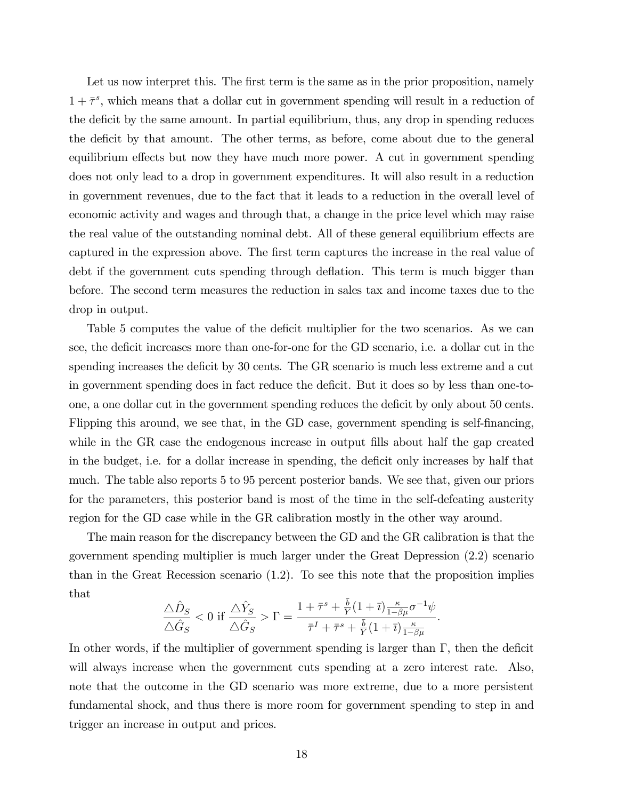Let us now interpret this. The first term is the same as in the prior proposition, namely  $1 + \bar{\tau}^s$ , which means that a dollar cut in government spending will result in a reduction of the deficit by the same amount. In partial equilibrium, thus, any drop in spending reduces the deficit by that amount. The other terms, as before, come about due to the general equilibrium effects but now they have much more power. A cut in government spending does not only lead to a drop in government expenditures. It will also result in a reduction in government revenues, due to the fact that it leads to a reduction in the overall level of economic activity and wages and through that, a change in the price level which may raise the real value of the outstanding nominal debt. All of these general equilibrium effects are captured in the expression above. The first term captures the increase in the real value of debt if the government cuts spending through deflation. This term is much bigger than before. The second term measures the reduction in sales tax and income taxes due to the drop in output.

Table 5 computes the value of the deficit multiplier for the two scenarios. As we can see, the deficit increases more than one-for-one for the GD scenario, i.e. a dollar cut in the spending increases the deficit by 30 cents. The GR scenario is much less extreme and a cut in government spending does in fact reduce the deficit. But it does so by less than one-toone, a one dollar cut in the government spending reduces the deficit by only about 50 cents. Flipping this around, we see that, in the GD case, government spending is self-financing, while in the GR case the endogenous increase in output fills about half the gap created in the budget, i.e. for a dollar increase in spending, the deficit only increases by half that much. The table also reports 5 to 95 percent posterior bands. We see that, given our priors for the parameters, this posterior band is most of the time in the self-defeating austerity region for the GD case while in the GR calibration mostly in the other way around.

The main reason for the discrepancy between the GD and the GR calibration is that the government spending multiplier is much larger under the Great Depression (2.2) scenario than in the Great Recession scenario (1.2). To see this note that the proposition implies that

$$
\frac{\triangle \hat{D}_S}{\triangle \hat{G}_S} < 0 \text{ if } \frac{\triangle \hat{Y}_S}{\triangle \hat{G}_S} > \Gamma = \frac{1 + \bar{\tau}^s + \frac{\bar{b}}{Y} (1 + \bar{\tau}) \frac{\kappa}{1 - \beta \mu} \sigma^{-1} \psi}{\bar{\tau}^I + \bar{\tau}^s + \frac{\bar{b}}{Y} (1 + \bar{\tau}) \frac{\kappa}{1 - \beta \mu}}.
$$

In other words, if the multiplier of government spending is larger than  $\Gamma$ , then the deficit will always increase when the government cuts spending at a zero interest rate. Also, note that the outcome in the GD scenario was more extreme, due to a more persistent fundamental shock, and thus there is more room for government spending to step in and trigger an increase in output and prices.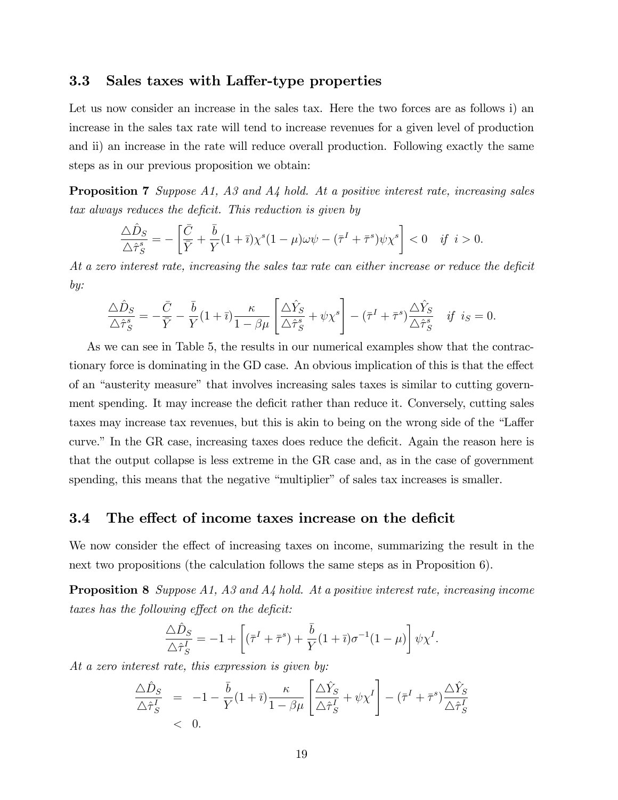#### 3.3 Sales taxes with Laffer-type properties

Let us now consider an increase in the sales tax. Here the two forces are as follows i) an increase in the sales tax rate will tend to increase revenues for a given level of production and ii) an increase in the rate will reduce overall production. Following exactly the same steps as in our previous proposition we obtain:

Proposition 7 Suppose A1, A3 and A4 hold. At a positive interest rate, increasing sales tax always reduces the deficit. This reduction is given by

$$
\frac{\Delta \hat{D}_S}{\Delta \hat{\tau}_S^s} = -\left[\frac{\bar{C}}{\bar{Y}} + \frac{\bar{b}}{Y}(1+\bar{\imath})\chi^s(1-\mu)\omega\psi - (\bar{\tau}^I + \bar{\tau}^s)\psi\chi^s\right] < 0 \quad \text{if } i > 0.
$$

At a zero interest rate, increasing the sales tax rate can either increase or reduce the deficit by:

$$
\frac{\triangle \hat{D}_S}{\triangle \hat{\tau}^s_S} = -\frac{\bar{C}}{\bar{Y}} - \frac{\bar{b}}{Y}(1+\bar{\imath})\frac{\kappa}{1-\beta\mu}\left[\frac{\triangle \hat{Y}_S}{\triangle \hat{\tau}^s_S} + \psi \chi^s \right] - (\bar{\tau}^I + \bar{\tau}^s)\frac{\triangle \hat{Y}_S}{\triangle \hat{\tau}^s_S} \quad \text{if } i_S = 0.
$$

As we can see in Table 5, the results in our numerical examples show that the contractionary force is dominating in the GD case. An obvious implication of this is that the effect of an "austerity measure" that involves increasing sales taxes is similar to cutting government spending. It may increase the deficit rather than reduce it. Conversely, cutting sales taxes may increase tax revenues, but this is akin to being on the wrong side of the "Laffer curve." In the GR case, increasing taxes does reduce the deficit. Again the reason here is that the output collapse is less extreme in the GR case and, as in the case of government spending, this means that the negative "multiplier" of sales tax increases is smaller.

#### 3.4 The effect of income taxes increase on the deficit

We now consider the effect of increasing taxes on income, summarizing the result in the next two propositions (the calculation follows the same steps as in Proposition 6).

Proposition 8 Suppose A1, A3 and A4 hold. At a positive interest rate, increasing income taxes has the following effect on the deficit:

$$
\frac{\Delta \hat{D}_S}{\Delta \hat{\tau}_S^I} = -1 + \left[ (\bar{\tau}^I + \bar{\tau}^s) + \frac{\bar{b}}{Y} (1 + \bar{\tau}) \sigma^{-1} (1 - \mu) \right] \psi \chi^I.
$$

At a zero interest rate, this expression is given by:

$$
\frac{\Delta \hat{D}_S}{\Delta \hat{\tau}_S^I} = -1 - \frac{\bar{b}}{Y} (1+\bar{\imath}) \frac{\kappa}{1-\beta \mu} \left[ \frac{\Delta \hat{Y}_S}{\Delta \hat{\tau}_S^I} + \psi \chi^I \right] - (\bar{\tau}^I + \bar{\tau}^s) \frac{\Delta \hat{Y}_S}{\Delta \hat{\tau}_S^I} < 0.
$$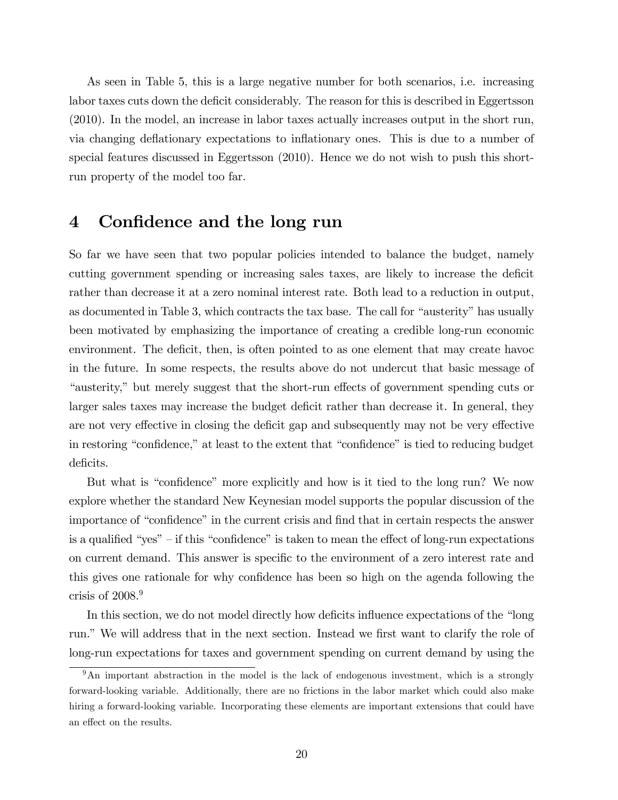As seen in Table 5, this is a large negative number for both scenarios, i.e. increasing labor taxes cuts down the deficit considerably. The reason for this is described in Eggertsson (2010). In the model, an increase in labor taxes actually increases output in the short run, via changing deflationary expectations to inflationary ones. This is due to a number of special features discussed in Eggertsson (2010). Hence we do not wish to push this shortrun property of the model too far.

### 4 Confidence and the long run

So far we have seen that two popular policies intended to balance the budget, namely cutting government spending or increasing sales taxes, are likely to increase the deficit rather than decrease it at a zero nominal interest rate. Both lead to a reduction in output, as documented in Table 3, which contracts the tax base. The call for "austerity" has usually been motivated by emphasizing the importance of creating a credible long-run economic environment. The deficit, then, is often pointed to as one element that may create havoc in the future. In some respects, the results above do not undercut that basic message of "austerity," but merely suggest that the short-run effects of government spending cuts or larger sales taxes may increase the budget deficit rather than decrease it. In general, they are not very effective in closing the deficit gap and subsequently may not be very effective in restoring "confidence," at least to the extent that "confidence" is tied to reducing budget deficits.

But what is "confidence" more explicitly and how is it tied to the long run? We now explore whether the standard New Keynesian model supports the popular discussion of the importance of "confidence" in the current crisis and find that in certain respects the answer is a qualified "yes"  $-$  if this "confidence" is taken to mean the effect of long-run expectations on current demand. This answer is specific to the environment of a zero interest rate and this gives one rationale for why confidence has been so high on the agenda following the crisis of  $2008.<sup>9</sup>$ 

In this section, we do not model directly how deficits influence expectations of the "long run." We will address that in the next section. Instead we first want to clarify the role of long-run expectations for taxes and government spending on current demand by using the

<sup>&</sup>lt;sup>9</sup>An important abstraction in the model is the lack of endogenous investment, which is a strongly forward-looking variable. Additionally, there are no frictions in the labor market which could also make hiring a forward-looking variable. Incorporating these elements are important extensions that could have an effect on the results.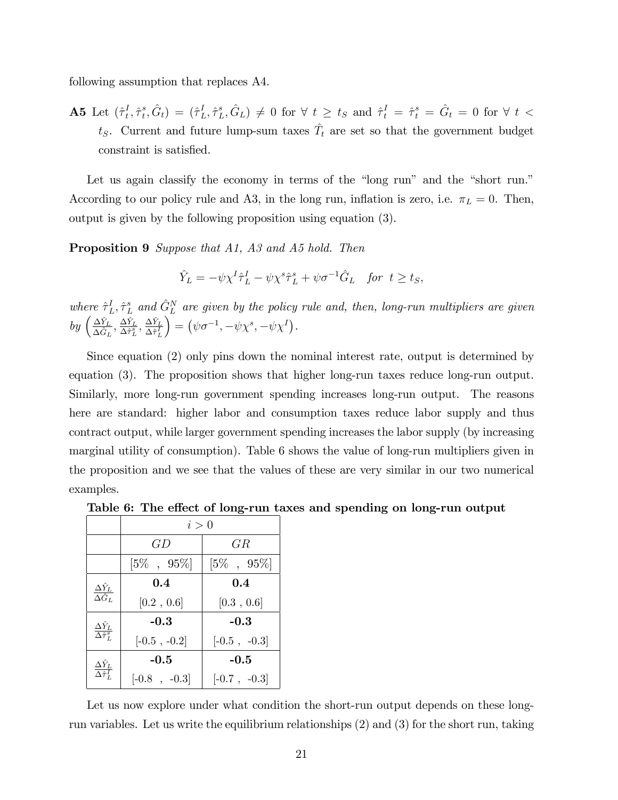following assumption that replaces A4.

**A5** Let  $(\hat{\tau}_t^I)$  $_{t}^{I},\hat{\tau}_{t}^{s}$  $t^s,\hat{G}_t) = (\hat{\tau}^I_I$  $_{L}^{I},\hat{\tau}_{L}^{s}$  $\hat{G}_L(\hat{G}_L) \neq 0$  for  $\forall$   $t \geq t_S$  and  $\hat{\tau}_t^I = \hat{\tau}_t^s = \hat{G}_t = 0$  for  $\forall$   $t <$  $t_S$ . Current and future lump-sum taxes  $\hat{T}_t$  are set so that the government budget constraint is satisfied.

Let us again classify the economy in terms of the "long run" and the "short run." According to our policy rule and A3, in the long run, inflation is zero, i.e.  $\pi_L = 0$ . Then, output is given by the following proposition using equation (3).

Proposition 9 Suppose that A1, A3 and A5 hold. Then

$$
\hat{Y}_L = -\psi \chi^I \hat{\tau}_L^I - \psi \chi^s \hat{\tau}_L^s + \psi \sigma^{-1} \hat{G}_L \quad \text{for } t \ge t_S,
$$

where  $\hat{\tau}^I_I$  $_{L}^{I},$   $\hat{\tau}_{L}^{s}$  and  $\hat{G}_{L}^{N}$  are given by the policy rule and, then, long-run multipliers are given by  $\left(\frac{\Delta \hat{Y}_L}{\Delta \hat{C}}\right)$  $\frac{\Delta \hat{Y}_L}{\Delta \hat{G}_L}, \frac{\Delta \hat{Y}_L}{\Delta \hat{\tau}^s_L}$  $\frac{\Delta \hat{Y}_L}{\Delta \hat{\tau}^s_L}, \frac{\Delta \hat{Y}_L}{\Delta \hat{\tau}^I_L}$  $\Delta \hat{\tau}^I_L$  $\overline{\int} = (\psi \sigma^{-1}, -\psi \chi^{s}, -\psi \chi^{I}).$ 

Since equation (2) only pins down the nominal interest rate, output is determined by equation (3). The proposition shows that higher long-run taxes reduce long-run output. Similarly, more long-run government spending increases long-run output. The reasons here are standard: higher labor and consumption taxes reduce labor supply and thus contract output, while larger government spending increases the labor supply (by increasing marginal utility of consumption). Table 6 shows the value of long-run multipliers given in the proposition and we see that the values of these are very similar in our two numerical examples.

Table 6: The effect of long-run taxes and spending on long-run output

|                                                    | i>0            |                |
|----------------------------------------------------|----------------|----------------|
|                                                    | GD             | GR             |
|                                                    | $[5\% , 95\%]$ | $[5\% , 95\%]$ |
| $\frac{\Delta \hat{Y}_L}{\Delta \hat{G}_L}$        | 0.4            | 0.4            |
|                                                    | [0.2, 0.6]     | [0.3, 0.6]     |
| $\frac{\Delta \hat{Y}_L}{\Delta \hat{\tau}^s_L}$   | $-0.3$         | $-0.3$         |
|                                                    | $[-0.5, -0.2]$ | $[-0.5, -0.3]$ |
|                                                    | $-0.5$         | $-0.5$         |
| $\frac{\Delta \hat{Y}_L}{\Delta \hat{\tau}^I_{L}}$ | $[-0.8, -0.3]$ | $[-0.7, -0.3]$ |

Let us now explore under what condition the short-run output depends on these longrun variables. Let us write the equilibrium relationships (2) and (3) for the short run, taking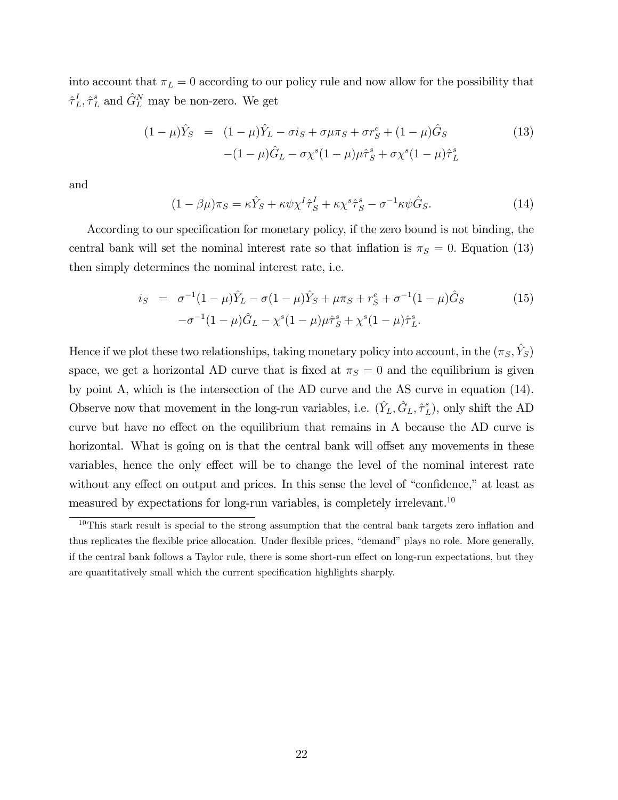into account that  $\pi_L = 0$  according to our policy rule and now allow for the possibility that  $\hat{\tau}^I_{\ I}$  $L^I, \hat{\tau}_L^s$  and  $\hat{G}_L^N$  may be non-zero. We get

$$
(1 - \mu)\hat{Y}_S = (1 - \mu)\hat{Y}_L - \sigma i_S + \sigma \mu \pi_S + \sigma r_S^e + (1 - \mu)\hat{G}_S
$$
  
-(1 - \mu)\hat{G}\_L - \sigma \chi^s (1 - \mu)\mu \hat{\tau}\_S^s + \sigma \chi^s (1 - \mu)\hat{\tau}\_L^s (13)

and

$$
(1 - \beta \mu)\pi_S = \kappa \hat{Y}_S + \kappa \psi \chi^I \hat{\tau}_S^I + \kappa \chi^s \hat{\tau}_S^s - \sigma^{-1} \kappa \psi \hat{G}_S. \tag{14}
$$

According to our specification for monetary policy, if the zero bound is not binding, the central bank will set the nominal interest rate so that inflation is  $\pi_S = 0$ . Equation (13) then simply determines the nominal interest rate, i.e.

$$
i_S = \sigma^{-1}(1-\mu)\hat{Y}_L - \sigma(1-\mu)\hat{Y}_S + \mu\pi_S + r_S^e + \sigma^{-1}(1-\mu)\hat{G}_S
$$
  

$$
-\sigma^{-1}(1-\mu)\hat{G}_L - \chi^s(1-\mu)\mu\hat{\tau}_S^s + \chi^s(1-\mu)\hat{\tau}_L^s.
$$
 (15)

Hence if we plot these two relationships, taking monetary policy into account, in the  $(\pi_S, \hat{Y}_S)$ space, we get a horizontal AD curve that is fixed at  $\pi_S = 0$  and the equilibrium is given by point A, which is the intersection of the AD curve and the AS curve in equation (14). Observe now that movement in the long-run variables, i.e.  $(\hat{Y}_L, \hat{G}_L, \hat{\tau}_L^s)$  $_{L}^{s}$ ), only shift the AD curve but have no effect on the equilibrium that remains in A because the AD curve is horizontal. What is going on is that the central bank will offset any movements in these variables, hence the only effect will be to change the level of the nominal interest rate without any effect on output and prices. In this sense the level of "confidence," at least as measured by expectations for long-run variables, is completely irrelevant.<sup>10</sup>

 $10$ This stark result is special to the strong assumption that the central bank targets zero inflation and thus replicates the flexible price allocation. Under flexible prices, "demand" plays no role. More generally, if the central bank follows a Taylor rule, there is some short-run effect on long-run expectations, but they are quantitatively small which the current specification highlights sharply.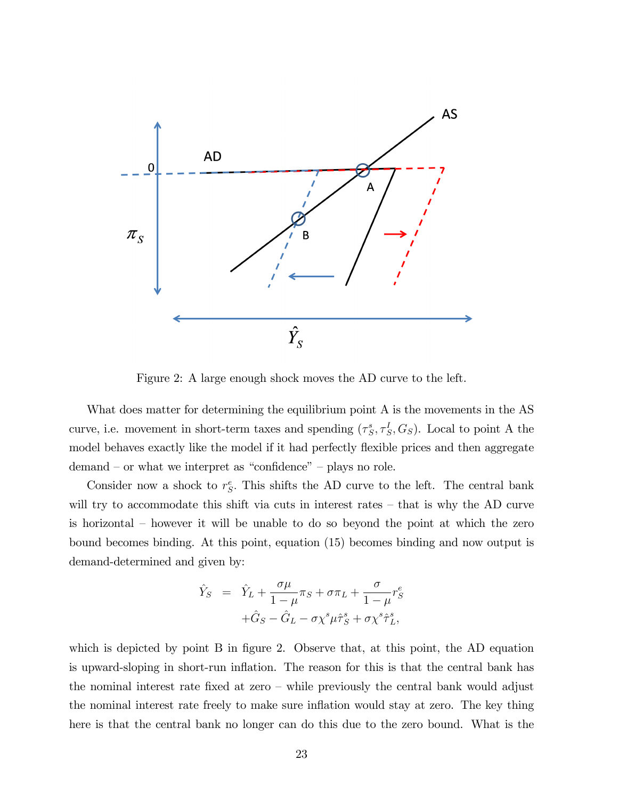

Figure 2: A large enough shock moves the AD curve to the left.

What does matter for determining the equilibrium point A is the movements in the AS curve, i.e. movement in short-term taxes and spending  $(\tau_S^s, \tau_S^I, G_S)$ . Local to point A the model behaves exactly like the model if it had perfectly flexible prices and then aggregate demand  $-$  or what we interpret as "confidence"  $-$  plays no role.

Consider now a shock to  $r_S^e$ . This shifts the AD curve to the left. The central bank will try to accommodate this shift via cuts in interest rates  $-$  that is why the AD curve is horizontal  $\overline{\phantom{a}}$  however it will be unable to do so beyond the point at which the zero bound becomes binding. At this point, equation (15) becomes binding and now output is demand-determined and given by:

$$
\begin{array}{rcl}\n\hat{Y}_S &=& \hat{Y}_L + \dfrac{\sigma\mu}{1-\mu}\pi_S + \sigma\pi_L + \dfrac{\sigma}{1-\mu}r_S^e \\
& & + \hat{G}_S - \hat{G}_L - \sigma\chi^s\mu\hat{\tau}_S^s + \sigma\chi^s\hat{\tau}_L^s,\n\end{array}
$$

which is depicted by point  $B$  in figure 2. Observe that, at this point, the  $AD$  equation is upward-sloping in short-run ináation. The reason for this is that the central bank has the nominal interest rate fixed at zero  $-$  while previously the central bank would adjust the nominal interest rate freely to make sure inflation would stay at zero. The key thing here is that the central bank no longer can do this due to the zero bound. What is the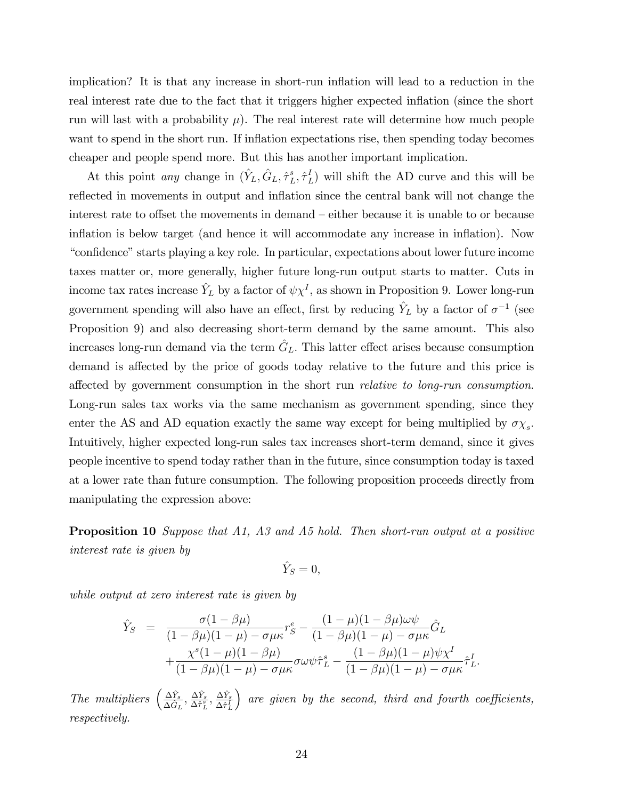implication? It is that any increase in short-run inflation will lead to a reduction in the real interest rate due to the fact that it triggers higher expected ináation (since the short run will last with a probability  $\mu$ ). The real interest rate will determine how much people want to spend in the short run. If inflation expectations rise, then spending today becomes cheaper and people spend more. But this has another important implication.

At this point *any* change in  $(\hat{Y}_L, \hat{G}_L, \hat{\tau}_L^s)$  $_{L}^{s},\hat{\tau}_{L}^{I}$  $L<sup>L</sup>$ ) will shift the AD curve and this will be reflected in movements in output and inflation since the central bank will not change the interest rate to offset the movements in demand – either because it is unable to or because inflation is below target (and hence it will accommodate any increase in inflation). Now ìconÖdenceîstarts playing a key role. In particular, expectations about lower future income taxes matter or, more generally, higher future long-run output starts to matter. Cuts in income tax rates increase  $\hat{Y}_L$  by a factor of  $\psi \chi^I$ , as shown in Proposition 9. Lower long-run government spending will also have an effect, first by reducing  $\hat{Y}_L$  by a factor of  $\sigma^{-1}$  (see Proposition 9) and also decreasing short-term demand by the same amount. This also increases long-run demand via the term  $\hat{G}_L$ . This latter effect arises because consumption demand is affected by the price of goods today relative to the future and this price is affected by government consumption in the short run *relative to long-run consumption*. Long-run sales tax works via the same mechanism as government spending, since they enter the AS and AD equation exactly the same way except for being multiplied by  $\sigma \chi_s$ . Intuitively, higher expected long-run sales tax increases short-term demand, since it gives people incentive to spend today rather than in the future, since consumption today is taxed at a lower rate than future consumption. The following proposition proceeds directly from manipulating the expression above:

Proposition 10 Suppose that A1, A3 and A5 hold. Then short-run output at a positive interest rate is given by

$$
\hat{Y}_S=0,
$$

while output at zero interest rate is given by

$$
\hat{Y}_S = \frac{\sigma(1-\beta\mu)}{(1-\beta\mu)(1-\mu) - \sigma\mu\kappa}r_S^e - \frac{(1-\mu)(1-\beta\mu)\omega\psi}{(1-\beta\mu)(1-\mu) - \sigma\mu\kappa}\hat{G}_L \n+ \frac{\chi^s(1-\mu)(1-\beta\mu)}{(1-\beta\mu)(1-\mu) - \sigma\mu\kappa}\sigma\omega\psi\hat{\tau}_L^s - \frac{(1-\beta\mu)(1-\mu)\psi\chi^I}{(1-\beta\mu)(1-\mu) - \sigma\mu\kappa}\hat{\tau}_L^I.
$$

The multipliers  $\left(\frac{\Delta \hat{Y}_s}{\Delta \hat{C}}\right)$  $\frac{\Delta \hat{Y}_s}{\Delta \hat{G}_L}, \frac{\Delta \hat{Y}_s}{\Delta \hat{\tau}^s_L}$  $\frac{\Delta \hat{Y}_s}{\Delta \hat{\tau}^s_L}, \frac{\Delta \hat{Y}_s}{\Delta \hat{\tau}^I_L}$  $\Delta \hat{\tau}^I_L$ are given by the second, third and fourth coefficients, respectively.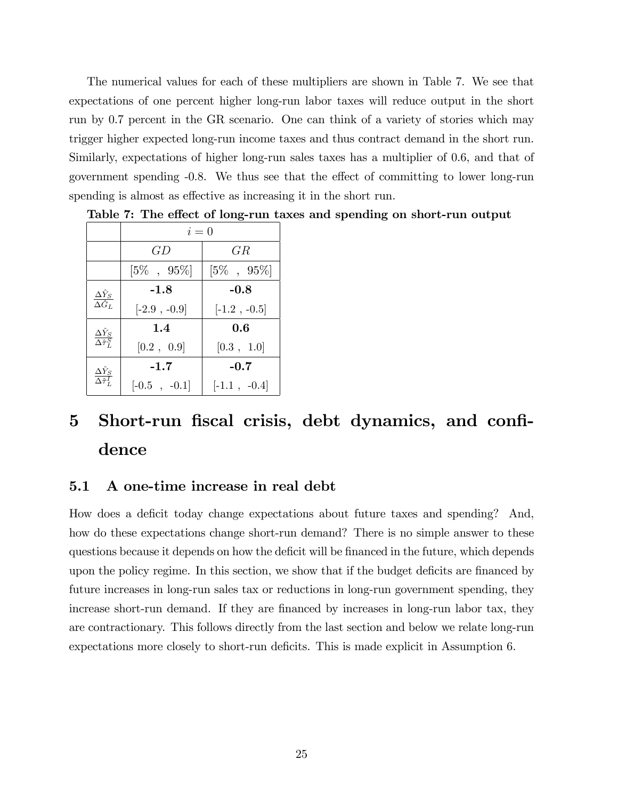The numerical values for each of these multipliers are shown in Table 7. We see that expectations of one percent higher long-run labor taxes will reduce output in the short run by 0.7 percent in the GR scenario. One can think of a variety of stories which may trigger higher expected long-run income taxes and thus contract demand in the short run. Similarly, expectations of higher long-run sales taxes has a multiplier of 0.6, and that of government spending -0.8. We thus see that the effect of committing to lower long-run spending is almost as effective as increasing it in the short run.

|                                                    | $i=0$          |                |
|----------------------------------------------------|----------------|----------------|
|                                                    | GD             | GR             |
|                                                    | $[5\% , 95\%]$ | $[5\% , 95\%]$ |
| $\frac{\Delta \hat{Y}_S}{\Delta \hat{G}_L}$        | $-1.8$         | $-0.8$         |
|                                                    | $[-2.9, -0.9]$ | $[-1.2, -0.5]$ |
|                                                    | 1.4            | 0.6            |
| $\frac{\Delta \hat{Y}_S}{\Delta \hat{\tau}^S_{I}}$ | [0.2, 0.9]     | [0.3, 1.0]     |
|                                                    | $-1.7$         | $-0.7$         |
| $\frac{\Delta Y_S}{\Delta \hat\tau^I_{~r}}$        | $[-0.5, -0.1]$ | $[-1.1, -0.4]$ |

Table 7: The effect of long-run taxes and spending on short-run output

## 5 Short-run fiscal crisis, debt dynamics, and confidence

#### 5.1 A one-time increase in real debt

How does a deficit today change expectations about future taxes and spending? And, how do these expectations change short-run demand? There is no simple answer to these questions because it depends on how the deficit will be financed in the future, which depends upon the policy regime. In this section, we show that if the budget deficits are financed by future increases in long-run sales tax or reductions in long-run government spending, they increase short-run demand. If they are financed by increases in long-run labor tax, they are contractionary. This follows directly from the last section and below we relate long-run expectations more closely to short-run deficits. This is made explicit in Assumption 6.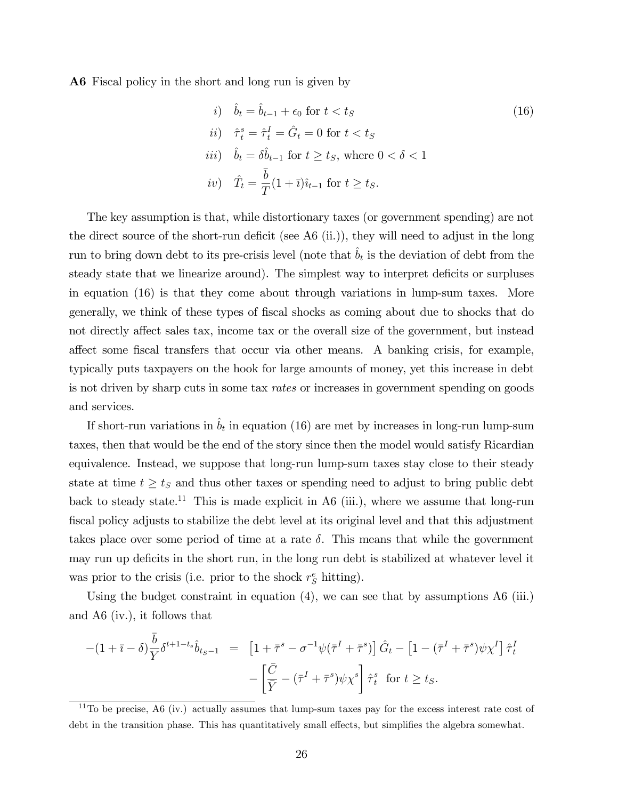A6 Fiscal policy in the short and long run is given by

$$
\begin{aligned}\ni) \quad \hat{b}_t &= \hat{b}_{t-1} + \epsilon_0 \text{ for } t < t_S \\
ii) \quad \hat{\tau}_t^s &= \hat{\tau}_t^I = \hat{G}_t = 0 \text{ for } t < t_S \\
iii) \quad \hat{b}_t &= \delta \hat{b}_{t-1} \text{ for } t \ge t_S, \text{ where } 0 < \delta < 1 \\
iv) \quad \hat{T}_t &= \frac{\bar{b}}{T} (1 + \bar{\tau}) \hat{i}_{t-1} \text{ for } t \ge t_S.\n\end{aligned}
$$
\n(16)

The key assumption is that, while distortionary taxes (or government spending) are not the direct source of the short-run deficit (see A6  $(ii.)$ ), they will need to adjust in the long run to bring down debt to its pre-crisis level (note that  $\hat{b}_t$  is the deviation of debt from the steady state that we linearize around). The simplest way to interpret deficits or surpluses in equation (16) is that they come about through variations in lump-sum taxes. More generally, we think of these types of Öscal shocks as coming about due to shocks that do not directly affect sales tax, income tax or the overall size of the government, but instead affect some fiscal transfers that occur via other means. A banking crisis, for example, typically puts taxpayers on the hook for large amounts of money, yet this increase in debt is not driven by sharp cuts in some tax rates or increases in government spending on goods and services.

If short-run variations in  $\hat{b}_t$  in equation (16) are met by increases in long-run lump-sum taxes, then that would be the end of the story since then the model would satisfy Ricardian equivalence. Instead, we suppose that long-run lump-sum taxes stay close to their steady state at time  $t \geq t_S$  and thus other taxes or spending need to adjust to bring public debt back to steady state.<sup>11</sup> This is made explicit in A6 (iii.), where we assume that long-run Öscal policy adjusts to stabilize the debt level at its original level and that this adjustment takes place over some period of time at a rate  $\delta$ . This means that while the government may run up deficits in the short run, in the long run debt is stabilized at whatever level it was prior to the crisis (i.e. prior to the shock  $r_S^e$  hitting).

Using the budget constraint in equation  $(4)$ , we can see that by assumptions A6 (iii.) and A6 (iv.), it follows that

$$
-(1+\overline{\imath}-\delta)\frac{\overline{b}}{Y}\delta^{t+1-t_{s}}\hat{b}_{t_{S}-1} = \left[1+\overline{\tau}^{s}-\sigma^{-1}\psi(\overline{\tau}^{I}+\overline{\tau}^{s})\right]\hat{G}_{t} - \left[1-(\overline{\tau}^{I}+\overline{\tau}^{s})\psi\chi^{I}\right]\hat{\tau}_{t}^{I}
$$

$$
-\left[\frac{\overline{C}}{\overline{Y}} - (\overline{\tau}^{I}+\overline{\tau}^{s})\psi\chi^{s}\right]\hat{\tau}_{t}^{s} \text{ for } t \geq t_{S}.
$$

 $11$ To be precise, A6 (iv.) actually assumes that lump-sum taxes pay for the excess interest rate cost of debt in the transition phase. This has quantitatively small effects, but simplifies the algebra somewhat.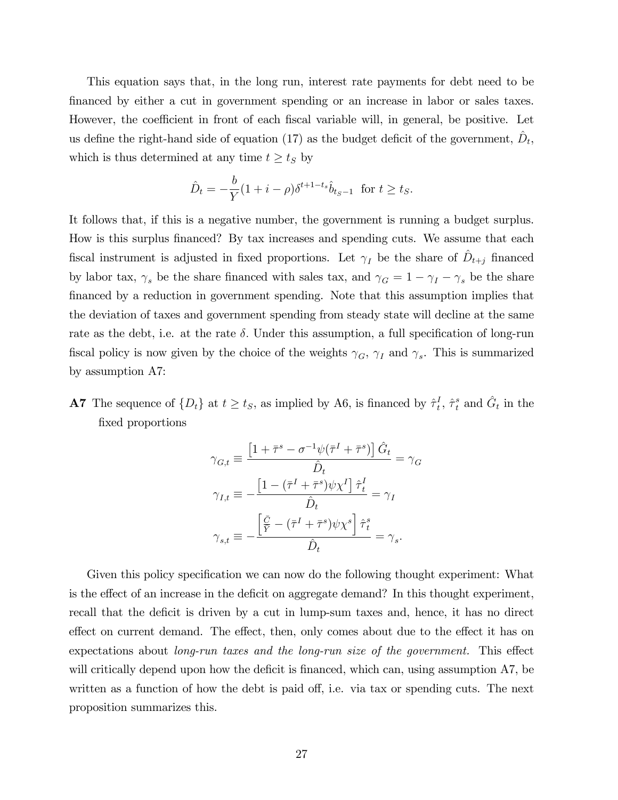This equation says that, in the long run, interest rate payments for debt need to be financed by either a cut in government spending or an increase in labor or sales taxes. However, the coefficient in front of each fiscal variable will, in general, be positive. Let us define the right-hand side of equation (17) as the budget deficit of the government,  $\hat{D}_t$ , which is thus determined at any time  $t \ge t_S$  by

$$
\hat{D}_t = -\frac{b}{Y}(1+i-\rho)\delta^{t+1-t_s}\hat{b}_{t_S-1} \text{ for } t \ge t_S.
$$

It follows that, if this is a negative number, the government is running a budget surplus. How is this surplus financed? By tax increases and spending cuts. We assume that each fiscal instrument is adjusted in fixed proportions. Let  $\gamma_I$  be the share of  $\hat{D}_{t+j}$  financed by labor tax,  $\gamma_s$  be the share financed with sales tax, and  $\gamma_G = 1 - \gamma_I - \gamma_s$  be the share Önanced by a reduction in government spending. Note that this assumption implies that the deviation of taxes and government spending from steady state will decline at the same rate as the debt, i.e. at the rate  $\delta$ . Under this assumption, a full specification of long-run fiscal policy is now given by the choice of the weights  $\gamma_G$ ,  $\gamma_I$  and  $\gamma_s$ . This is summarized by assumption A7:

**A7** The sequence of  $\{D_t\}$  at  $t \geq t_S$ , as implied by A6, is financed by  $\hat{\tau}_t^I$  $_t^I$ ,  $\hat{\tau}_t^s$  and  $\hat{G}_t$  in the fixed proportions

$$
\gamma_{G,t} \equiv \frac{\left[1 + \bar{\tau}^s - \sigma^{-1}\psi(\bar{\tau}^I + \bar{\tau}^s)\right]\hat{G}_t}{\hat{D}_t} = \gamma_G
$$

$$
\gamma_{I,t} \equiv -\frac{\left[1 - (\bar{\tau}^I + \bar{\tau}^s)\psi\chi^I\right]\hat{\tau}_t^I}{\hat{D}_t} = \gamma_I
$$

$$
\gamma_{s,t} \equiv -\frac{\left[\frac{\bar{C}}{\bar{Y}} - (\bar{\tau}^I + \bar{\tau}^s)\psi\chi^s\right]\hat{\tau}_t^s}{\hat{D}_t} = \gamma_s.
$$

Given this policy specification we can now do the following thought experiment: What is the effect of an increase in the deficit on aggregate demand? In this thought experiment, recall that the deficit is driven by a cut in lump-sum taxes and, hence, it has no direct effect on current demand. The effect, then, only comes about due to the effect it has on expectations about *long-run taxes and the long-run size of the government*. This effect will critically depend upon how the deficit is financed, which can, using assumption  $A7$ , be written as a function of how the debt is paid off, i.e. via tax or spending cuts. The next proposition summarizes this.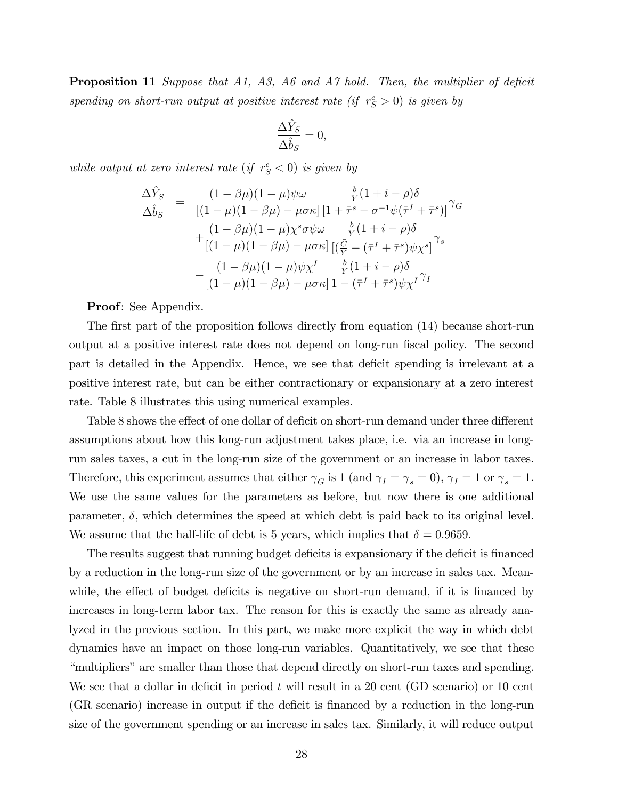**Proposition 11** Suppose that A1, A3, A6 and A7 hold. Then, the multiplier of deficit spending on short-run output at positive interest rate (if  $r_S^e > 0$ ) is given by

$$
\frac{\Delta \hat{Y}_S}{\Delta \hat{b}_S} = 0,
$$

while output at zero interest rate (if  $r_S^e < 0$ ) is given by

$$
\frac{\Delta \hat{Y}_S}{\Delta \hat{b}_S} = \frac{(1 - \beta \mu)(1 - \mu)\psi \omega}{[(1 - \mu)(1 - \beta \mu) - \mu \sigma \kappa]} \frac{\frac{b}{Y}(1 + i - \rho)\delta}{[1 + \bar{\tau}^s - \sigma^{-1}\psi(\bar{\tau}^I + \bar{\tau}^s)]}\gamma_G
$$

$$
+ \frac{(1 - \beta \mu)(1 - \mu)\chi^s \sigma \psi \omega}{[(1 - \mu)(1 - \beta \mu) - \mu \sigma \kappa]} \frac{\frac{b}{Y}(1 + i - \rho)\delta}{[(\frac{\bar{C}}{Y} - (\bar{\tau}^I + \bar{\tau}^s)\psi \chi^s)]}\gamma_s
$$

$$
- \frac{(1 - \beta \mu)(1 - \mu)\psi \chi^I}{[(1 - \mu)(1 - \beta \mu) - \mu \sigma \kappa]} \frac{\frac{b}{Y}(1 + i - \rho)\delta}{1 - (\bar{\tau}^I + \bar{\tau}^s)\psi \chi^I}\gamma_I
$$

Proof: See Appendix.

The first part of the proposition follows directly from equation (14) because short-run output at a positive interest rate does not depend on long-run Öscal policy. The second part is detailed in the Appendix. Hence, we see that deficit spending is irrelevant at a positive interest rate, but can be either contractionary or expansionary at a zero interest rate. Table 8 illustrates this using numerical examples.

Table 8 shows the effect of one dollar of deficit on short-run demand under three different assumptions about how this long-run adjustment takes place, i.e. via an increase in longrun sales taxes, a cut in the long-run size of the government or an increase in labor taxes. Therefore, this experiment assumes that either  $\gamma_G$  is 1 (and  $\gamma_I = \gamma_s = 0$ ),  $\gamma_I = 1$  or  $\gamma_s = 1$ . We use the same values for the parameters as before, but now there is one additional parameter,  $\delta$ , which determines the speed at which debt is paid back to its original level. We assume that the half-life of debt is 5 years, which implies that  $\delta = 0.9659$ .

The results suggest that running budget deficits is expansionary if the deficit is financed by a reduction in the long-run size of the government or by an increase in sales tax. Meanwhile, the effect of budget deficits is negative on short-run demand, if it is financed by increases in long-term labor tax. The reason for this is exactly the same as already analyzed in the previous section. In this part, we make more explicit the way in which debt dynamics have an impact on those long-run variables. Quantitatively, we see that these "multipliers" are smaller than those that depend directly on short-run taxes and spending. We see that a dollar in deficit in period t will result in a 20 cent (GD scenario) or 10 cent (GR scenario) increase in output if the deficit is financed by a reduction in the long-run size of the government spending or an increase in sales tax. Similarly, it will reduce output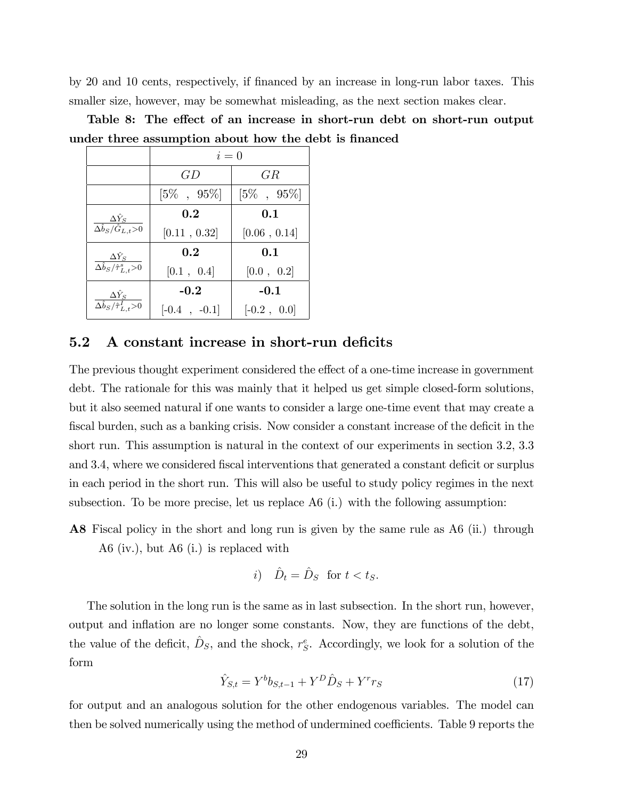by 20 and 10 cents, respectively, if Önanced by an increase in long-run labor taxes. This smaller size, however, may be somewhat misleading, as the next section makes clear.

|                                                                      | $i=0$          |                |  |  |
|----------------------------------------------------------------------|----------------|----------------|--|--|
|                                                                      | GD             | GR             |  |  |
|                                                                      | $[5\% , 95\%]$ | $[5\% , 95\%]$ |  |  |
|                                                                      | 0.2            | 0.1            |  |  |
| $\frac{\Delta \hat{Y}_S}{\Delta \hat{b}_S/\hat{G}_{L,t}>0}$          | [0.11, 0.32]   | [0.06, 0.14]   |  |  |
|                                                                      | 0.2            | 0.1            |  |  |
| $\frac{\Delta \hat{Y}_S}{\Delta \hat{b}_S/\hat{\tau}_{L.t}^s>0}$     | [0.1, 0.4]     | [0.0, 0.2]     |  |  |
|                                                                      | $-0.2$         | $-0.1$         |  |  |
| $\frac{\Delta \hat{Y}_S}{\Delta \hat{b}_S / \hat{\tau}_{L.t}^I > 0}$ | $[-0.4, -0.1]$ | $[-0.2, 0.0]$  |  |  |

Table 8: The effect of an increase in short-run debt on short-run output under three assumption about how the debt is financed

#### 5.2 A constant increase in short-run deficits

The previous thought experiment considered the effect of a one-time increase in government debt. The rationale for this was mainly that it helped us get simple closed-form solutions, but it also seemed natural if one wants to consider a large one-time event that may create a fiscal burden, such as a banking crisis. Now consider a constant increase of the deficit in the short run. This assumption is natural in the context of our experiments in section 3.2, 3.3 and 3.4, where we considered fiscal interventions that generated a constant deficit or surplus in each period in the short run. This will also be useful to study policy regimes in the next subsection. To be more precise, let us replace A6 (i.) with the following assumption:

A8 Fiscal policy in the short and long run is given by the same rule as A6 (ii.) through A6 (iv.), but A6 (i.) is replaced with

$$
i) \quad \hat{D}_t = \hat{D}_S \quad \text{for } t < t_S.
$$

The solution in the long run is the same as in last subsection. In the short run, however, output and ináation are no longer some constants. Now, they are functions of the debt, the value of the deficit,  $\hat{D}_S$ , and the shock,  $r_S^e$ . Accordingly, we look for a solution of the form

$$
\hat{Y}_{S,t} = Y^b b_{S,t-1} + Y^D \hat{D}_S + Y^r r_S \tag{17}
$$

for output and an analogous solution for the other endogenous variables. The model can then be solved numerically using the method of undermined coefficients. Table 9 reports the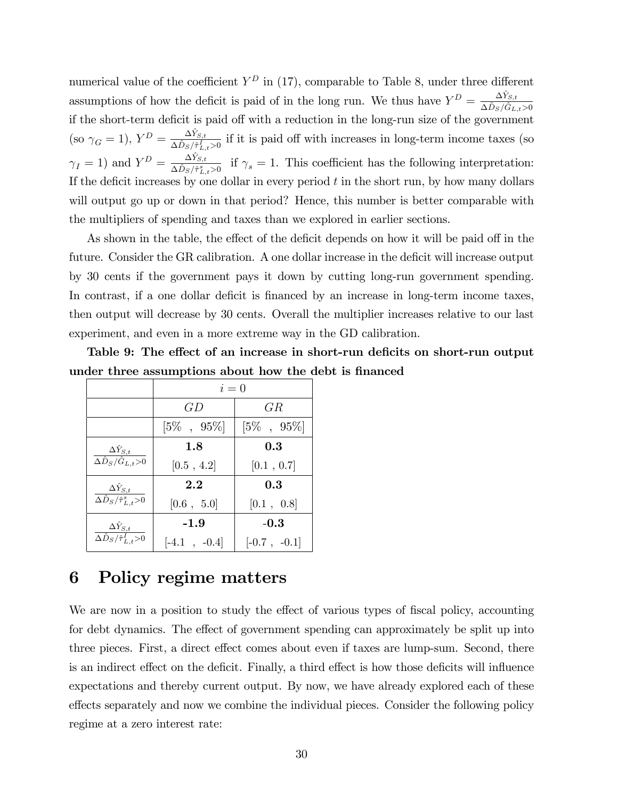numerical value of the coefficient  $Y^D$  in (17), comparable to Table 8, under three different assumptions of how the deficit is paid of in the long run. We thus have  $Y^D = \frac{\Delta \hat{Y}_{S,t}}{\Delta \hat{D}_{s,t} \hat{C}}$  $\Delta \hat{D}_S/\hat{G}_{L,t}{>}0$ if the short-term deficit is paid off with a reduction in the long-run size of the government (so  $\gamma_G = 1$ ),  $Y^D = \frac{\Delta \hat{Y}_{S,t}}{\Delta \hat{D}_S / \hat{\tau}^I}$  $\frac{\Delta Y_{S,t}}{\Delta \hat{D}_S/\hat{\tau}_{L,t}^1 > 0}$  if it is paid off with increases in long-term income taxes (so  $\gamma_I = 1$ ) and  $Y^D = \frac{\Delta \hat{Y}_{S,t}}{\Delta \hat{D}_S / \hat{\tau}^s}$  $\frac{\Delta S_{S,t}}{\Delta \hat{D}_S/\hat{\tau}_{L,t}^s>0}$  if  $\gamma_s = 1$ . This coefficient has the following interpretation: If the deficit increases by one dollar in every period  $t$  in the short run, by how many dollars will output go up or down in that period? Hence, this number is better comparable with the multipliers of spending and taxes than we explored in earlier sections.

As shown in the table, the effect of the deficit depends on how it will be paid off in the future. Consider the GR calibration. A one dollar increase in the deficit will increase output by 30 cents if the government pays it down by cutting long-run government spending. In contrast, if a one dollar deficit is financed by an increase in long-term income taxes, then output will decrease by 30 cents. Overall the multiplier increases relative to our last experiment, and even in a more extreme way in the GD calibration.

|  |                                                        |       |  |  | Table 9: The effect of an increase in short-run deficits on short-run output |  |
|--|--------------------------------------------------------|-------|--|--|------------------------------------------------------------------------------|--|
|  | under three assumptions about how the debt is financed |       |  |  |                                                                              |  |
|  |                                                        | $i=0$ |  |  |                                                                              |  |

|                                                                          | $i=0$          |                |  |
|--------------------------------------------------------------------------|----------------|----------------|--|
|                                                                          | GD             | GR             |  |
|                                                                          | $[5\% , 95\%]$ | $[5\% , 95\%]$ |  |
| $\frac{\Delta \hat{Y}_{S,t}}{\Delta \hat{D}_S/\hat{G}_{L,t}>0}$          | $1.8\,$        | 0.3            |  |
|                                                                          | [0.5, 4.2]     | [0.1, 0.7]     |  |
|                                                                          | 2.2            | 0.3            |  |
| $\frac{\Delta \hat{Y}_{S,t}}{\Delta \hat{D}_S/\hat{\tau}^s_{L,t}>0}$     | [0.6, 5.0]     | [0.1, 0.8]     |  |
|                                                                          | $-1.9$         | $-0.3$         |  |
| $\frac{\Delta \hat{Y}_{S,t}}{\Delta \hat{D}_S / \hat{\tau}^I_{L,t} > 0}$ | $[-4.1, -0.4]$ | $[-0.7, -0.1]$ |  |

## 6 Policy regime matters

We are now in a position to study the effect of various types of fiscal policy, accounting for debt dynamics. The effect of government spending can approximately be split up into three pieces. First, a direct effect comes about even if taxes are lump-sum. Second, there is an indirect effect on the deficit. Finally, a third effect is how those deficits will influence expectations and thereby current output. By now, we have already explored each of these effects separately and now we combine the individual pieces. Consider the following policy regime at a zero interest rate: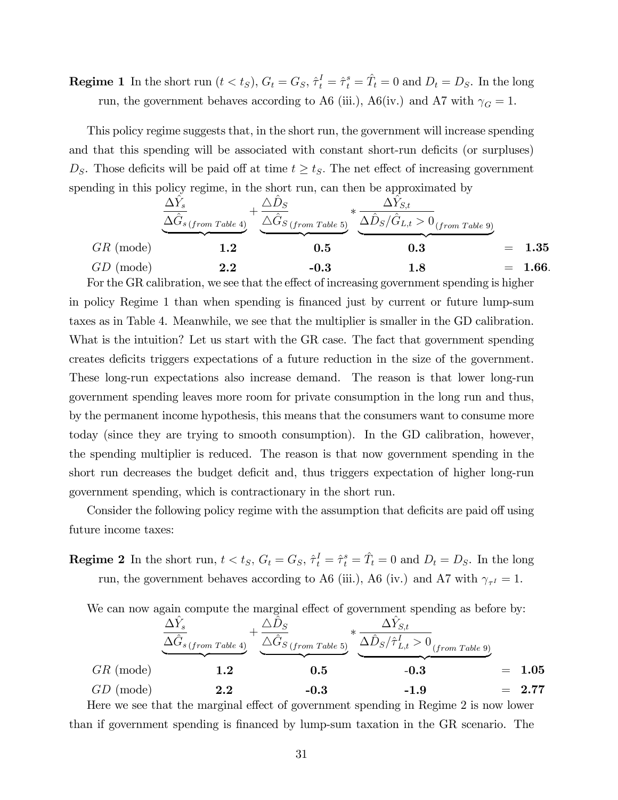**Regime 1** In the short run  $(t < t_S)$ ,  $G_t = G_S$ ,  $\hat{\tau}_t^I = \hat{\tau}_t^s = \hat{T}_t = 0$  and  $D_t = D_S$ . In the long run, the government behaves according to A6 (iii.), A6(iv.) and A7 with  $\gamma_G = 1$ .

This policy regime suggests that, in the short run, the government will increase spending and that this spending will be associated with constant short-run deficits (or surpluses)  $D<sub>S</sub>$ . Those deficits will be paid off at time  $t \geq t<sub>S</sub>$ . The net effect of increasing government spending in this policy regime, in the short run, can then be approximated by

$$
\frac{\Delta \hat{Y}_s}{\Delta \hat{G}_{s \ (from \ Table \ 4)}} + \frac{\Delta \hat{D}_S}{\Delta \hat{G}_{S \ (from \ Table \ 5)}} \times \frac{\Delta \hat{Y}_{S,t}}{\Delta \hat{D}_S / \hat{G}_{L,t} > 0}_{(from \ Table \ 9)} = 1.35
$$
  
\n*GD* (mode)  
\n**2.2 0.3 1.8** = **1.66**.

For the GR calibration, we see that the effect of increasing government spending is higher in policy Regime 1 than when spending is financed just by current or future lump-sum taxes as in Table 4. Meanwhile, we see that the multiplier is smaller in the GD calibration. What is the intuition? Let us start with the GR case. The fact that government spending creates deÖcits triggers expectations of a future reduction in the size of the government. These long-run expectations also increase demand. The reason is that lower long-run government spending leaves more room for private consumption in the long run and thus, by the permanent income hypothesis, this means that the consumers want to consume more today (since they are trying to smooth consumption). In the GD calibration, however, the spending multiplier is reduced. The reason is that now government spending in the short run decreases the budget deficit and, thus triggers expectation of higher long-run government spending, which is contractionary in the short run.

Consider the following policy regime with the assumption that deficits are paid off using future income taxes:

**Regime 2** In the short run,  $t < t_S$ ,  $G_t = G_S$ ,  $\hat{\tau}_t^I = \hat{\tau}_t^s = \hat{T}_t = 0$  and  $D_t = D_S$ . In the long run, the government behaves according to A6 (iii.), A6 (iv.) and A7 with  $\gamma_{\tau} = 1$ .

We can now again compute the marginal effect of government spending as before by:

|               |     |        | $\Lambda_{S.t.}$                                                                                                                    |          |
|---------------|-----|--------|-------------------------------------------------------------------------------------------------------------------------------------|----------|
|               |     |        | $\overline{\Delta G_s}$ (from Table 4) $\Delta \hat{G}_S$ (from Table 5) $\Delta \hat{D}_S / \hat{\tau}_{L,t}^I > 0$ (from Table 9) |          |
| $GR \pmod{e}$ |     | 0.5    | $-0.3$                                                                                                                              | $= 1.05$ |
| $GD \pmod{e}$ | 2.2 | $-0.3$ | $-1.9$                                                                                                                              | $= 2.77$ |

Here we see that the marginal effect of government spending in Regime  $2$  is now lower than if government spending is financed by lump-sum taxation in the GR scenario. The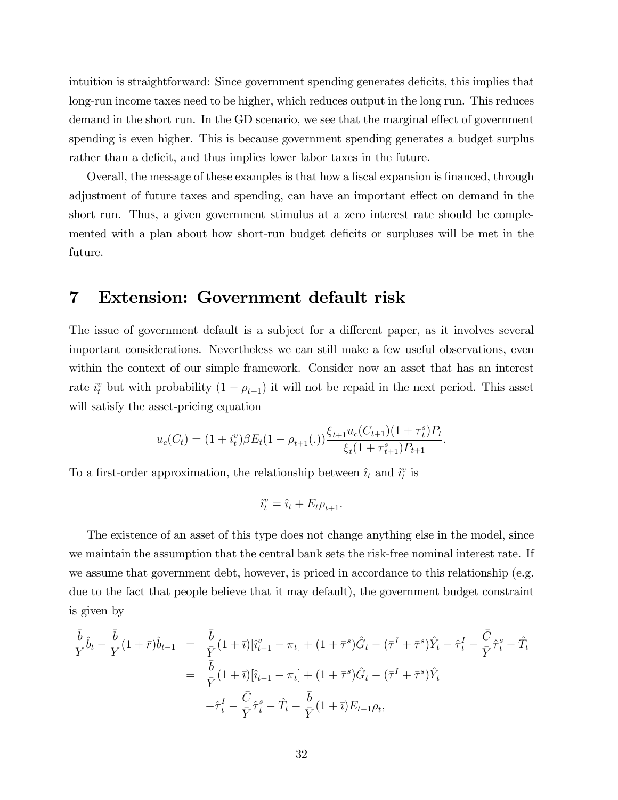intuition is straightforward: Since government spending generates deficits, this implies that long-run income taxes need to be higher, which reduces output in the long run. This reduces demand in the short run. In the GD scenario, we see that the marginal effect of government spending is even higher. This is because government spending generates a budget surplus rather than a deficit, and thus implies lower labor taxes in the future.

Overall, the message of these examples is that how a fiscal expansion is financed, through adjustment of future taxes and spending, can have an important effect on demand in the short run. Thus, a given government stimulus at a zero interest rate should be complemented with a plan about how short-run budget deficits or surpluses will be met in the future.

## 7 Extension: Government default risk

The issue of government default is a subject for a different paper, as it involves several important considerations. Nevertheless we can still make a few useful observations, even within the context of our simple framework. Consider now an asset that has an interest rate  $i_t^v$  but with probability  $(1 - \rho_{t+1})$  it will not be repaid in the next period. This asset will satisfy the asset-pricing equation

$$
u_c(C_t) = (1 + i_t^v)\beta E_t(1 - \rho_{t+1}(.)\frac{\xi_{t+1}u_c(C_{t+1})(1 + \tau_t^s)P_t}{\xi_t(1 + \tau_{t+1}^s)P_{t+1}}.
$$

To a first-order approximation, the relationship between  $\hat{i}_t$  and  $\hat{i}_t^v$  is

$$
\hat{i}_t^v = \hat{i}_t + E_t \rho_{t+1}.
$$

The existence of an asset of this type does not change anything else in the model, since we maintain the assumption that the central bank sets the risk-free nominal interest rate. If we assume that government debt, however, is priced in accordance to this relationship (e.g. due to the fact that people believe that it may default), the government budget constraint is given by

$$
\frac{\bar{b}}{Y}\hat{b}_t - \frac{\bar{b}}{Y}(1+\bar{r})\hat{b}_{t-1} = \frac{\bar{b}}{\bar{Y}}(1+\bar{v})[\hat{i}_{t-1}^v - \pi_t] + (1+\bar{\tau}^s)\hat{G}_t - (\bar{\tau}^I + \bar{\tau}^s)\hat{Y}_t - \hat{\tau}_t^I - \frac{\bar{C}}{\bar{Y}}\hat{\tau}_t^s - \hat{T}_t
$$
\n
$$
= \frac{\bar{b}}{\bar{Y}}(1+\bar{v})[\hat{i}_{t-1} - \pi_t] + (1+\bar{\tau}^s)\hat{G}_t - (\bar{\tau}^I + \bar{\tau}^s)\hat{Y}_t
$$
\n
$$
-\hat{\tau}_t^I - \frac{\bar{C}}{\bar{Y}}\hat{\tau}_t^s - \hat{T}_t - \frac{\bar{b}}{\bar{Y}}(1+\bar{v})E_{t-1}\rho_t,
$$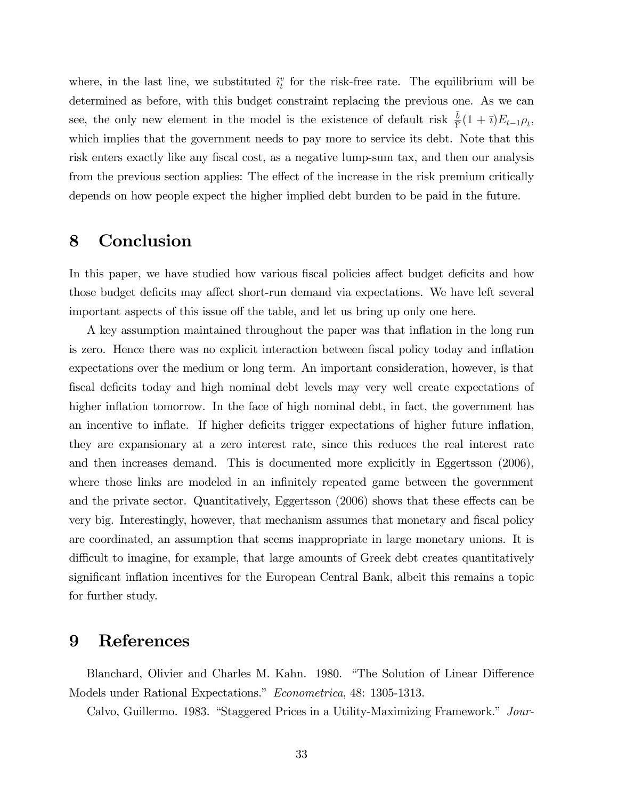where, in the last line, we substituted  $\hat{i}^v_t$  for the risk-free rate. The equilibrium will be determined as before, with this budget constraint replacing the previous one. As we can see, the only new element in the model is the existence of default risk  $\frac{\bar{b}}{\bar{Y}}(1+\bar{v})E_{t-1}\rho_t$ , which implies that the government needs to pay more to service its debt. Note that this risk enters exactly like any fiscal cost, as a negative lump-sum tax, and then our analysis from the previous section applies: The effect of the increase in the risk premium critically depends on how people expect the higher implied debt burden to be paid in the future.

## 8 Conclusion

In this paper, we have studied how various fiscal policies affect budget deficits and how those budget deficits may affect short-run demand via expectations. We have left several important aspects of this issue off the table, and let us bring up only one here.

A key assumption maintained throughout the paper was that inflation in the long run is zero. Hence there was no explicit interaction between fiscal policy today and inflation expectations over the medium or long term. An important consideration, however, is that fiscal deficits today and high nominal debt levels may very well create expectations of higher inflation tomorrow. In the face of high nominal debt, in fact, the government has an incentive to inflate. If higher deficits trigger expectations of higher future inflation, they are expansionary at a zero interest rate, since this reduces the real interest rate and then increases demand. This is documented more explicitly in Eggertsson (2006), where those links are modeled in an infinitely repeated game between the government and the private sector. Quantitatively, Eggertsson (2006) shows that these effects can be very big. Interestingly, however, that mechanism assumes that monetary and fiscal policy are coordinated, an assumption that seems inappropriate in large monetary unions. It is difficult to imagine, for example, that large amounts of Greek debt creates quantitatively significant inflation incentives for the European Central Bank, albeit this remains a topic for further study.

## 9 References

Blanchard, Olivier and Charles M. Kahn. 1980. "The Solution of Linear Difference Models under Rational Expectations." *Econometrica*, 48: 1305-1313.

Calvo, Guillermo. 1983. "Staggered Prices in a Utility-Maximizing Framework." Jour-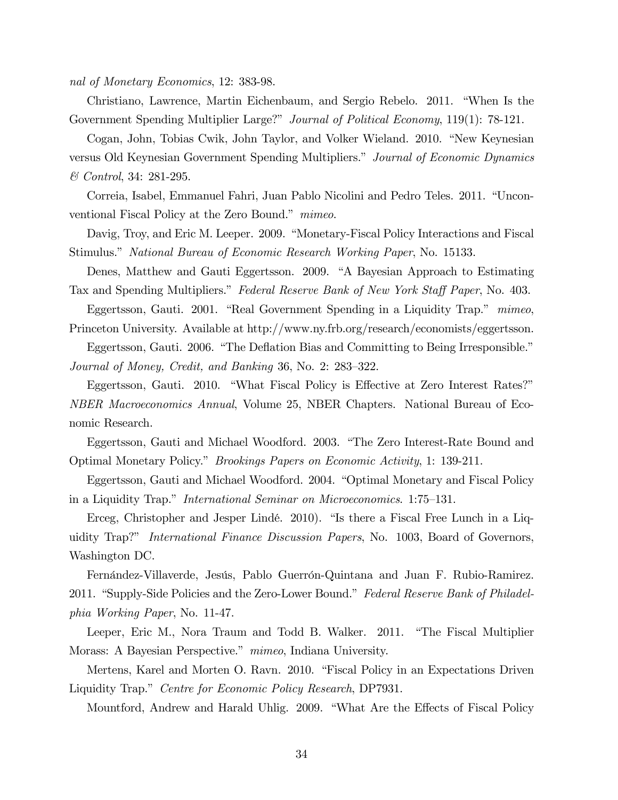nal of Monetary Economics, 12: 383-98.

Christiano, Lawrence, Martin Eichenbaum, and Sergio Rebelo. 2011. "When Is the Government Spending Multiplier Large?" Journal of Political Economy, 119(1): 78-121.

Cogan, John, Tobias Cwik, John Taylor, and Volker Wieland. 2010. "New Keynesian versus Old Keynesian Government Spending Multipliers." Journal of Economic Dynamics & Control, 34: 281-295.

Correia, Isabel, Emmanuel Fahri, Juan Pablo Nicolini and Pedro Teles. 2011. "Unconventional Fiscal Policy at the Zero Bound." *mimeo.* 

Davig, Troy, and Eric M. Leeper. 2009. "Monetary-Fiscal Policy Interactions and Fiscal Stimulus.î National Bureau of Economic Research Working Paper, No. 15133.

Denes, Matthew and Gauti Eggertsson. 2009. "A Bayesian Approach to Estimating Tax and Spending Multipliers." Federal Reserve Bank of New York Staff Paper, No. 403.

Eggertsson, Gauti. 2001. "Real Government Spending in a Liquidity Trap." *mimeo*, Princeton University. Available at http://www.ny.frb.org/research/economists/eggertsson.

Eggertsson, Gauti. 2006. "The Deflation Bias and Committing to Being Irresponsible." Journal of Money, Credit, and Banking 36, No. 2: 283–322.

Eggertsson, Gauti. 2010. "What Fiscal Policy is Effective at Zero Interest Rates?" NBER Macroeconomics Annual, Volume 25, NBER Chapters. National Bureau of Economic Research.

Eggertsson, Gauti and Michael Woodford. 2003. "The Zero Interest-Rate Bound and Optimal Monetary Policy.î Brookings Papers on Economic Activity, 1: 139-211.

Eggertsson, Gauti and Michael Woodford. 2004. "Optimal Monetary and Fiscal Policy in a Liquidity Trap." International Seminar on Microeconomics. 1:75–131.

Erceg, Christopher and Jesper Lindé. 2010). "Is there a Fiscal Free Lunch in a Liquidity Trap?" *International Finance Discussion Papers*, No. 1003, Board of Governors, Washington DC.

Fernández-Villaverde, Jesús, Pablo Guerrón-Quintana and Juan F. Rubio-Ramirez. 2011. "Supply-Side Policies and the Zero-Lower Bound." Federal Reserve Bank of Philadelphia Working Paper, No. 11-47.

Leeper, Eric M., Nora Traum and Todd B. Walker. 2011. "The Fiscal Multiplier Morass: A Bayesian Perspective." mimeo, Indiana University.

Mertens, Karel and Morten O. Ravn. 2010. "Fiscal Policy in an Expectations Driven Liquidity Trap." Centre for Economic Policy Research, DP7931.

Mountford, Andrew and Harald Uhlig. 2009. "What Are the Effects of Fiscal Policy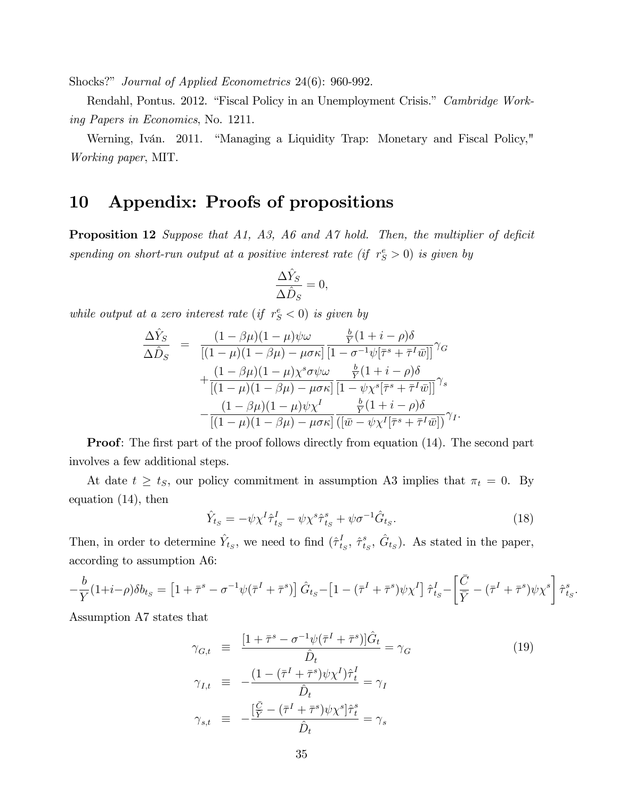Shocks?" Journal of Applied Econometrics 24(6): 960-992.

Rendahl, Pontus. 2012. "Fiscal Policy in an Unemployment Crisis." Cambridge Working Papers in Economics, No. 1211.

Werning, Iván. 2011. "Managing a Liquidity Trap: Monetary and Fiscal Policy," Working paper, MIT.

## 10 Appendix: Proofs of propositions

**Proposition 12** Suppose that A1, A3, A6 and A7 hold. Then, the multiplier of deficit spending on short-run output at a positive interest rate (if  $r_S^e > 0$ ) is given by

$$
\frac{\Delta \hat{Y}_S}{\Delta \hat{D}_S} = 0,
$$

while output at a zero interest rate (if  $r_S^e < 0$ ) is given by

$$
\frac{\Delta \hat{Y}_S}{\Delta \hat{D}_S} = \frac{(1 - \beta \mu)(1 - \mu)\psi \omega}{[(1 - \mu)(1 - \beta \mu) - \mu \sigma \kappa]} \frac{\frac{b}{Y}(1 + i - \rho)\delta}{[1 - \sigma^{-1}\psi[\bar{\tau}^s + \bar{\tau}^I \bar{w}]]}\gamma_G
$$

$$
+ \frac{(1 - \beta \mu)(1 - \mu)\chi^s \sigma \psi \omega}{[(1 - \mu)(1 - \beta \mu) - \mu \sigma \kappa]} \frac{\frac{b}{Y}(1 + i - \rho)\delta}{[1 - \psi \chi^s[\bar{\tau}^s + \bar{\tau}^I \bar{w}]]}\gamma_s
$$

$$
- \frac{(1 - \beta \mu)(1 - \mu)\psi \chi^I}{[(1 - \mu)(1 - \beta \mu) - \mu \sigma \kappa]} \frac{\frac{b}{Y}(1 + i - \rho)\delta}{([\bar{w} - \psi \chi^I[\bar{\tau}^s + \bar{\tau}^I \bar{w}])}\gamma_I
$$

**Proof:** The first part of the proof follows directly from equation (14). The second part involves a few additional steps.

At date  $t \geq t_s$ , our policy commitment in assumption A3 implies that  $\pi_t = 0$ . By equation (14), then

$$
\hat{Y}_{t_S} = -\psi \chi^I \hat{\tau}_{t_S}^I - \psi \chi^s \hat{\tau}_{t_S}^s + \psi \sigma^{-1} \hat{G}_{t_S}.
$$
\n(18)

:

:

Then, in order to determine  $\hat{Y}_{t_S}$ , we need to find  $(\hat{\tau}_t^I)$  $_{t_S}^I, \ \hat{\tau}_{t_S}^s$  $t<sub>s</sub>$ ,  $\hat{G}<sub>t<sub>s</sub></sub>$ ). As stated in the paper, according to assumption A6:

$$
-\frac{b}{Y}(1+i-\rho)\delta b_{ts} = \left[1+\bar{\tau}^s-\sigma^{-1}\psi(\bar{\tau}^I+\bar{\tau}^s)\right]\hat{G}_{ts} - \left[1-(\bar{\tau}^I+\bar{\tau}^s)\psi\chi^I\right]\hat{\tau}_{ts}^I - \left[\frac{\bar{C}}{\bar{Y}} - (\bar{\tau}^I+\bar{\tau}^s)\psi\chi^s\right]\hat{\tau}_{ts}^s
$$

Assumption A7 states that

$$
\gamma_{G,t} \equiv \frac{\left[1 + \bar{\tau}^s - \sigma^{-1}\psi(\bar{\tau}^I + \bar{\tau}^s)\right]\hat{G}_t}{\hat{D}_t} = \gamma_G
$$
\n
$$
\gamma_{I,t} \equiv -\frac{\left(1 - (\bar{\tau}^I + \bar{\tau}^s)\psi \chi^I\right)\hat{\tau}_t^I}{\hat{D}_t} = \gamma_I
$$
\n
$$
\gamma_{s,t} \equiv -\frac{\left[\frac{\bar{C}}{\bar{Y}} - (\bar{\tau}^I + \bar{\tau}^s)\psi \chi^s\right]\hat{\tau}_t^s}{\hat{D}_t} = \gamma_s
$$
\n(19)